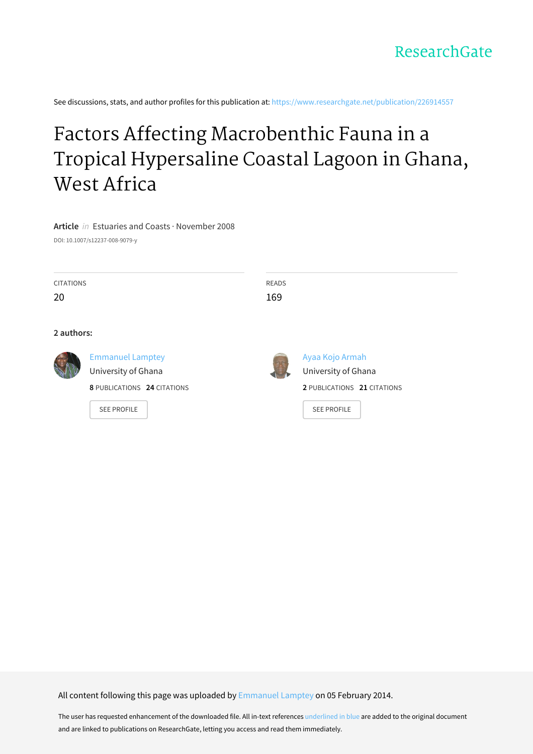See discussions, stats, and author profiles for this publication at: [https://www.researchgate.net/publication/226914557](https://www.researchgate.net/publication/226914557_Factors_Affecting_Macrobenthic_Fauna_in_a_Tropical_Hypersaline_Coastal_Lagoon_in_Ghana_West_Africa?enrichId=rgreq-43301336f11efd93653b6a2898d99141-XXX&enrichSource=Y292ZXJQYWdlOzIyNjkxNDU1NztBUzo5OTIyNzk1MDY0OTM1NEAxNDAwNjY5MTk1NjM3&el=1_x_2&_esc=publicationCoverPdf)

# Factors Affecting [Macrobenthic](https://www.researchgate.net/publication/226914557_Factors_Affecting_Macrobenthic_Fauna_in_a_Tropical_Hypersaline_Coastal_Lagoon_in_Ghana_West_Africa?enrichId=rgreq-43301336f11efd93653b6a2898d99141-XXX&enrichSource=Y292ZXJQYWdlOzIyNjkxNDU1NztBUzo5OTIyNzk1MDY0OTM1NEAxNDAwNjY5MTk1NjM3&el=1_x_3&_esc=publicationCoverPdf) Fauna in a Tropical Hypersaline Coastal Lagoon in Ghana, West Africa

# **Article** in Estuaries and Coasts · November 2008

DOI: 10.1007/s12237-008-9079-y

| <b>CITATIONS</b> |                                                                               | <b>READS</b> |                                                                       |
|------------------|-------------------------------------------------------------------------------|--------------|-----------------------------------------------------------------------|
| 20               |                                                                               | 169          |                                                                       |
| 2 authors:       |                                                                               |              |                                                                       |
|                  | <b>Emmanuel Lamptey</b><br>University of Ghana<br>8 PUBLICATIONS 24 CITATIONS |              | Ayaa Kojo Armah<br>University of Ghana<br>2 PUBLICATIONS 21 CITATIONS |
|                  | <b>SEE PROFILE</b>                                                            |              | <b>SEE PROFILE</b>                                                    |

All content following this page was uploaded by [Emmanuel](https://www.researchgate.net/profile/Emmanuel_Lamptey?enrichId=rgreq-43301336f11efd93653b6a2898d99141-XXX&enrichSource=Y292ZXJQYWdlOzIyNjkxNDU1NztBUzo5OTIyNzk1MDY0OTM1NEAxNDAwNjY5MTk1NjM3&el=1_x_10&_esc=publicationCoverPdf) Lamptey on 05 February 2014.

The user has requested enhancement of the downloaded file. All in-text references underlined in blue are added to the original document and are linked to publications on ResearchGate, letting you access and read them immediately.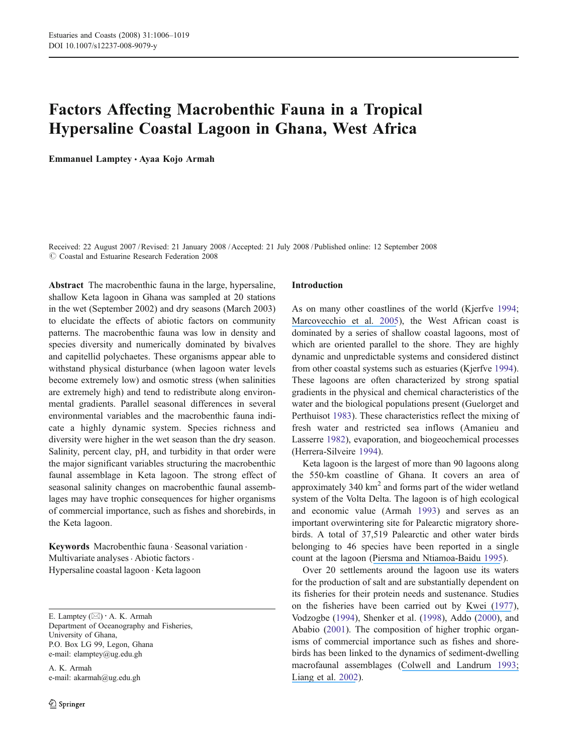# Factors Affecting Macrobenthic Fauna in a Tropical Hypersaline Coastal Lagoon in Ghana, West Africa

Emmanuel Lamptey *&* Ayaa Kojo Armah

Received: 22 August 2007 /Revised: 21 January 2008 /Accepted: 21 July 2008 / Published online: 12 September 2008  $\odot$  Coastal and Estuarine Research Federation 2008

Abstract The macrobenthic fauna in the large, hypersaline, shallow Keta lagoon in Ghana was sampled at 20 stations in the wet (September 2002) and dry seasons (March 2003) to elucidate the effects of abiotic factors on community patterns. The macrobenthic fauna was low in density and species diversity and numerically dominated by bivalves and capitellid polychaetes. These organisms appear able to withstand physical disturbance (when lagoon water levels become extremely low) and osmotic stress (when salinities are extremely high) and tend to redistribute along environmental gradients. Parallel seasonal differences in several environmental variables and the macrobenthic fauna indicate a highly dynamic system. Species richness and diversity were higher in the wet season than the dry season. Salinity, percent clay, pH, and turbidity in that order were the major significant variables structuring the macrobenthic faunal assemblage in Keta lagoon. The strong effect of seasonal salinity changes on macrobenthic faunal assemblages may have trophic consequences for higher organisms of commercial importance, such as fishes and shorebirds, in the Keta lagoon.

Keywords Macrobenthic fauna . Seasonal variation . Multivariate analyses  $\cdot$  Abiotic factors  $\cdot$ Hypersaline coastal lagoon . Keta lagoon

E. Lamptey (*\**) *:* A. K. Armah Department of Oceanography and Fisheries, University of Ghana, P.O. Box LG 99, Legon, Ghana e-mail: elamptey@ug.edu.gh

A. K. Armah e-mail: akarmah@ug.edu.gh

#### Introduction

As on many other coastlines of the world (Kjerfve [1994;](#page-14-0) [Marcovecchio et al.](https://www.researchgate.net/publication/227627361_Seasonality_of_hydrographic_variables_in_a_coastal_lagoon_Mar_Chiquita_Argentina?el=1_x_8&enrichId=rgreq-43301336f11efd93653b6a2898d99141-XXX&enrichSource=Y292ZXJQYWdlOzIyNjkxNDU1NztBUzo5OTIyNzk1MDY0OTM1NEAxNDAwNjY5MTk1NjM3) [2005](#page-14-0)), the West African coast is dominated by a series of shallow coastal lagoons, most of which are oriented parallel to the shore. They are highly dynamic and unpredictable systems and considered distinct from other coastal systems such as estuaries (Kjerfve [1994\)](#page-14-0). These lagoons are often characterized by strong spatial gradients in the physical and chemical characteristics of the water and the biological populations present (Guelorget and Perthuisot [1983\)](#page-14-0). These characteristics reflect the mixing of fresh water and restricted sea inflows (Amanieu and Lasserre [1982](#page-13-0)), evaporation, and biogeochemical processes (Herrera-Silveire [1994](#page-14-0)).

Keta lagoon is the largest of more than 90 lagoons along the 550-km coastline of Ghana. It covers an area of approximately  $340 \text{ km}^2$  and forms part of the wider wetland system of the Volta Delta. The lagoon is of high ecological and economic value (Armah [1993](#page-13-0)) and serves as an important overwintering site for Palearctic migratory shorebirds. A total of 37,519 Palearctic and other water birds belonging to 46 species have been reported in a single count at the lagoon ([Piersma and Ntiamoa-Baidu](https://www.researchgate.net/publication/258558953_Waterbird_Ecology_and_the_Management_of_Coastal_Wetlands_in_Ghana?el=1_x_8&enrichId=rgreq-43301336f11efd93653b6a2898d99141-XXX&enrichSource=Y292ZXJQYWdlOzIyNjkxNDU1NztBUzo5OTIyNzk1MDY0OTM1NEAxNDAwNjY5MTk1NjM3) [1995\)](#page-14-0).

Over 20 settlements around the lagoon use its waters for the production of salt and are substantially dependent on its fisheries for their protein needs and sustenance. Studies on the fisheries have been carried out by [Kwei \(1](https://www.researchgate.net/publication/226130612_Biological_chemical_and_hydrological_characters_of_coastal_lagoons_of_Ghana_West_Africa?el=1_x_8&enrichId=rgreq-43301336f11efd93653b6a2898d99141-XXX&enrichSource=Y292ZXJQYWdlOzIyNjkxNDU1NztBUzo5OTIyNzk1MDY0OTM1NEAxNDAwNjY5MTk1NjM3)[977\)](#page-14-0), Vodzogbe [\(1994](#page-14-0)), Shenker et al. [\(1998](#page-14-0)), Addo ([2000\)](#page-13-0), and Ababio ([2001\)](#page-13-0). The composition of higher trophic organisms of commercial importance such as fishes and shorebirds has been linked to the dynamics of sediment-dwelling macrofaunal assemblages ([Colwell and Landrum](https://www.researchgate.net/publication/266604839_Nonrandom_Shorebird_Distribution_and_Fine-Scale_Variation_in_Prey_Abundance?el=1_x_8&enrichId=rgreq-43301336f11efd93653b6a2898d99141-XXX&enrichSource=Y292ZXJQYWdlOzIyNjkxNDU1NztBUzo5OTIyNzk1MDY0OTM1NEAxNDAwNjY5MTk1NjM3) [1993;](#page-13-0) [Liang et al.](https://www.researchgate.net/publication/255054731_A_Structural_Equation_Model_for_Physiochemical_Variables_of_Water_Benthic_Invertebrates_and_Feeding_Activity_of_Waterbirds_in_the_Sitsao_Wetlands_of_Southern_Taiwan?el=1_x_8&enrichId=rgreq-43301336f11efd93653b6a2898d99141-XXX&enrichSource=Y292ZXJQYWdlOzIyNjkxNDU1NztBUzo5OTIyNzk1MDY0OTM1NEAxNDAwNjY5MTk1NjM3) [2002\)](#page-14-0).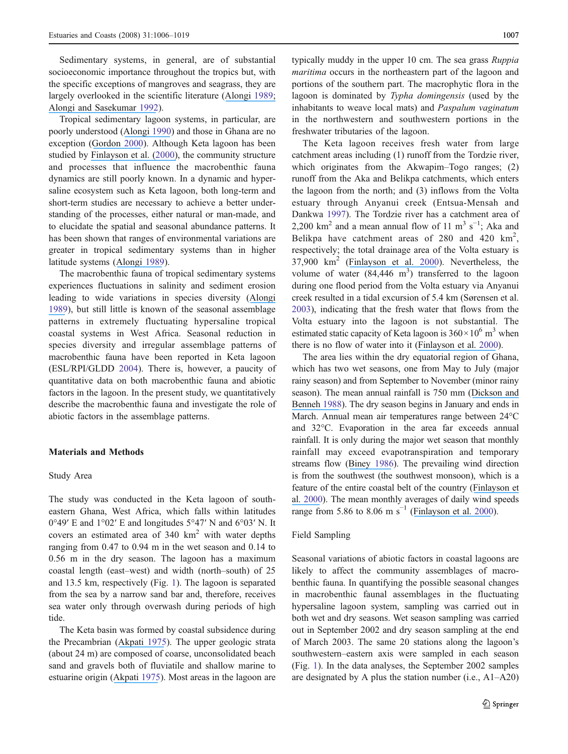Sedimentary systems, in general, are of substantial socioeconomic importance throughout the tropics but, with the specific exceptions of mangroves and seagrass, they are largely overlooked in the scientific literature ([Alongi](https://www.researchgate.net/publication/284686443_Ecology_of_tropical_soft-bottom_benthos_A_review_with_emphasis_on_emerging_concepts?el=1_x_8&enrichId=rgreq-43301336f11efd93653b6a2898d99141-XXX&enrichSource=Y292ZXJQYWdlOzIyNjkxNDU1NztBUzo5OTIyNzk1MDY0OTM1NEAxNDAwNjY5MTk1NjM3) [1989](#page-13-0); [Alongi and Sasekumar](https://www.researchgate.net/publication/285480713_Coastal_and_estuarine_studies_Tropical_mangrove_ecosystems?el=1_x_8&enrichId=rgreq-43301336f11efd93653b6a2898d99141-XXX&enrichSource=Y292ZXJQYWdlOzIyNjkxNDU1NztBUzo5OTIyNzk1MDY0OTM1NEAxNDAwNjY5MTk1NjM3) [1992](#page-13-0)).

Tropical sedimentary lagoon systems, in particular, are poorly understood ([Alongi](https://www.researchgate.net/publication/291348264_The_Ecology_of_Tropical_Soft-Bottom_Benthic_Ecosystems?el=1_x_8&enrichId=rgreq-43301336f11efd93653b6a2898d99141-XXX&enrichSource=Y292ZXJQYWdlOzIyNjkxNDU1NztBUzo5OTIyNzk1MDY0OTM1NEAxNDAwNjY5MTk1NjM3) [1990\)](#page-13-0) and those in Ghana are no exception ([Gordon](https://www.researchgate.net/publication/226744630_Hypersaline_lagoons_as_conservation_habitats_Macro-invertebrates_at_Muni_Lagoon_Ghana?el=1_x_8&enrichId=rgreq-43301336f11efd93653b6a2898d99141-XXX&enrichSource=Y292ZXJQYWdlOzIyNjkxNDU1NztBUzo5OTIyNzk1MDY0OTM1NEAxNDAwNjY5MTk1NjM3) [2000](#page-14-0)). Although Keta lagoon has been studied by [Finlayson et al. \(](https://www.researchgate.net/publication/258556699_Hydrobiology_of_the_Songor_and_Keta_lagoons_implications_for_wetland_management_in_Ghana?el=1_x_8&enrichId=rgreq-43301336f11efd93653b6a2898d99141-XXX&enrichSource=Y292ZXJQYWdlOzIyNjkxNDU1NztBUzo5OTIyNzk1MDY0OTM1NEAxNDAwNjY5MTk1NjM3)[2000](#page-13-0)[\)](https://www.researchgate.net/publication/258556699_Hydrobiology_of_the_Songor_and_Keta_lagoons_implications_for_wetland_management_in_Ghana?el=1_x_8&enrichId=rgreq-43301336f11efd93653b6a2898d99141-XXX&enrichSource=Y292ZXJQYWdlOzIyNjkxNDU1NztBUzo5OTIyNzk1MDY0OTM1NEAxNDAwNjY5MTk1NjM3), the community structure and processes that influence the macrobenthic fauna dynamics are still poorly known. In a dynamic and hypersaline ecosystem such as Keta lagoon, both long-term and short-term studies are necessary to achieve a better understanding of the processes, either natural or man-made, and to elucidate the spatial and seasonal abundance patterns. It has been shown that ranges of environmental variations are greater in tropical sedimentary systems than in higher latitude systems ([Alongi](https://www.researchgate.net/publication/284686443_Ecology_of_tropical_soft-bottom_benthos_A_review_with_emphasis_on_emerging_concepts?el=1_x_8&enrichId=rgreq-43301336f11efd93653b6a2898d99141-XXX&enrichSource=Y292ZXJQYWdlOzIyNjkxNDU1NztBUzo5OTIyNzk1MDY0OTM1NEAxNDAwNjY5MTk1NjM3) [1989](#page-13-0)).

The macrobenthic fauna of tropical sedimentary systems experiences fluctuations in salinity and sediment erosion leading to wide variations in species diversity ([Alongi](https://www.researchgate.net/publication/284686443_Ecology_of_tropical_soft-bottom_benthos_A_review_with_emphasis_on_emerging_concepts?el=1_x_8&enrichId=rgreq-43301336f11efd93653b6a2898d99141-XXX&enrichSource=Y292ZXJQYWdlOzIyNjkxNDU1NztBUzo5OTIyNzk1MDY0OTM1NEAxNDAwNjY5MTk1NjM3) [1989](#page-13-0)), but still little is known of the seasonal assemblage patterns in extremely fluctuating hypersaline tropical coastal systems in West Africa. Seasonal reduction in species diversity and irregular assemblage patterns of macrobenthic fauna have been reported in Keta lagoon (ESL/RPI/GLDD [2004\)](#page-13-0). There is, however, a paucity of quantitative data on both macrobenthic fauna and abiotic factors in the lagoon. In the present study, we quantitatively describe the macrobenthic fauna and investigate the role of abiotic factors in the assemblage patterns.

### Materials and Methods

#### Study Area

The study was conducted in the Keta lagoon of southeastern Ghana, West Africa, which falls within latitudes  $0°49'$  E and  $1°02'$  E and longitudes  $5°47'$  N and  $6°03'$  N. It covers an estimated area of  $340 \text{ km}^2$  with water depths ranging from 0.47 to 0.94 m in the wet season and 0.14 to 0.56 m in the dry season. The lagoon has a maximum coastal length (east–west) and width (north–south) of 25 and 13.5 km, respectively (Fig. [1\)](#page-3-0). The lagoon is separated from the sea by a narrow sand bar and, therefore, receives sea water only through overwash during periods of high tide.

The Keta basin was formed by coastal subsidence during the Precambrian ([Akpati](https://www.researchgate.net/publication/249525176_Geologic_structure_and_evolution_of_the_Keta_basin_Ghana_West_Africa?el=1_x_8&enrichId=rgreq-43301336f11efd93653b6a2898d99141-XXX&enrichSource=Y292ZXJQYWdlOzIyNjkxNDU1NztBUzo5OTIyNzk1MDY0OTM1NEAxNDAwNjY5MTk1NjM3) [1975\)](#page-13-0). The upper geologic strata (about 24 m) are composed of coarse, unconsolidated beach sand and gravels both of fluviatile and shallow marine to estuarine origin ([Akpati](https://www.researchgate.net/publication/249525176_Geologic_structure_and_evolution_of_the_Keta_basin_Ghana_West_Africa?el=1_x_8&enrichId=rgreq-43301336f11efd93653b6a2898d99141-XXX&enrichSource=Y292ZXJQYWdlOzIyNjkxNDU1NztBUzo5OTIyNzk1MDY0OTM1NEAxNDAwNjY5MTk1NjM3) [1975](#page-13-0)). Most areas in the lagoon are typically muddy in the upper 10 cm. The sea grass Ruppia maritima occurs in the northeastern part of the lagoon and portions of the southern part. The macrophytic flora in the lagoon is dominated by Typha domingensis (used by the inhabitants to weave local mats) and Paspalum vaginatum in the northwestern and southwestern portions in the freshwater tributaries of the lagoon.

The Keta lagoon receives fresh water from large catchment areas including (1) runoff from the Tordzie river, which originates from the Akwapim–Togo ranges; (2) runoff from the Aka and Belikpa catchments, which enters the lagoon from the north; and (3) inflows from the Volta estuary through Anyanui creek (Entsua-Mensah and Dankwa [1997\)](#page-13-0). The Tordzie river has a catchment area of 2,200  $\text{km}^2$  and a mean annual flow of 11 m<sup>3</sup> s<sup>-1</sup>; Aka and Belikpa have catchment areas of 280 and 420  $\text{km}^2$ , respectively; the total drainage area of the Volta estuary is 37,900 km<sup>2</sup> ([Finlayson et al.](https://www.researchgate.net/publication/258556699_Hydrobiology_of_the_Songor_and_Keta_lagoons_implications_for_wetland_management_in_Ghana?el=1_x_8&enrichId=rgreq-43301336f11efd93653b6a2898d99141-XXX&enrichSource=Y292ZXJQYWdlOzIyNjkxNDU1NztBUzo5OTIyNzk1MDY0OTM1NEAxNDAwNjY5MTk1NjM3) [2000](#page-13-0)). Nevertheless, the volume of water  $(84,446 \text{ m}^3)$  transferred to the lagoon during one flood period from the Volta estuary via Anyanui creek resulted in a tidal excursion of 5.4 km (Sørensen et al. [2003](#page-14-0)), indicating that the fresh water that flows from the Volta estuary into the lagoon is not substantial. The estimated static capacity of Keta lagoon is  $360 \times 10^6$  m<sup>3</sup> when there is no flow of water into it ([Finlayson et al.](https://www.researchgate.net/publication/258556699_Hydrobiology_of_the_Songor_and_Keta_lagoons_implications_for_wetland_management_in_Ghana?el=1_x_8&enrichId=rgreq-43301336f11efd93653b6a2898d99141-XXX&enrichSource=Y292ZXJQYWdlOzIyNjkxNDU1NztBUzo5OTIyNzk1MDY0OTM1NEAxNDAwNjY5MTk1NjM3) [2000](#page-13-0)).

The area lies within the dry equatorial region of Ghana, which has two wet seasons, one from May to July (major rainy season) and from September to November (minor rainy season). The mean annual rainfall is 750 mm ([Dickson and](https://www.researchgate.net/publication/275882880_Geography_of_Ghana?el=1_x_8&enrichId=rgreq-43301336f11efd93653b6a2898d99141-XXX&enrichSource=Y292ZXJQYWdlOzIyNjkxNDU1NztBUzo5OTIyNzk1MDY0OTM1NEAxNDAwNjY5MTk1NjM3) [Benneh](https://www.researchgate.net/publication/275882880_Geography_of_Ghana?el=1_x_8&enrichId=rgreq-43301336f11efd93653b6a2898d99141-XXX&enrichSource=Y292ZXJQYWdlOzIyNjkxNDU1NztBUzo5OTIyNzk1MDY0OTM1NEAxNDAwNjY5MTk1NjM3) [1988](#page-13-0)). The dry season begins in January and ends in March. Annual mean air temperatures range between 24°C and 32°C. Evaporation in the area far exceeds annual rainfall. It is only during the major wet season that monthly rainfall may exceed evapotranspiration and temporary streams flow ([Biney](https://www.researchgate.net/publication/290163205_Preliminary_physico-chemical_studies_of_estuaries_along_the_Gulf_of_Guinea_in_Ghana?el=1_x_8&enrichId=rgreq-43301336f11efd93653b6a2898d99141-XXX&enrichSource=Y292ZXJQYWdlOzIyNjkxNDU1NztBUzo5OTIyNzk1MDY0OTM1NEAxNDAwNjY5MTk1NjM3) [1986\)](#page-13-0). The prevailing wind direction is from the southwest (the southwest monsoon), which is a feature of the entire coastal belt of the country ([Finlayson et](https://www.researchgate.net/publication/258556699_Hydrobiology_of_the_Songor_and_Keta_lagoons_implications_for_wetland_management_in_Ghana?el=1_x_8&enrichId=rgreq-43301336f11efd93653b6a2898d99141-XXX&enrichSource=Y292ZXJQYWdlOzIyNjkxNDU1NztBUzo5OTIyNzk1MDY0OTM1NEAxNDAwNjY5MTk1NjM3) al. [2](https://www.researchgate.net/publication/258556699_Hydrobiology_of_the_Songor_and_Keta_lagoons_implications_for_wetland_management_in_Ghana?el=1_x_8&enrichId=rgreq-43301336f11efd93653b6a2898d99141-XXX&enrichSource=Y292ZXJQYWdlOzIyNjkxNDU1NztBUzo5OTIyNzk1MDY0OTM1NEAxNDAwNjY5MTk1NjM3)[000](#page-13-0)). The mean monthly averages of daily wind speeds range from 5.86 to 8.06 m s<sup> $-1$ </sup> ([Finlayson et al.](https://www.researchgate.net/publication/258556699_Hydrobiology_of_the_Songor_and_Keta_lagoons_implications_for_wetland_management_in_Ghana?el=1_x_8&enrichId=rgreq-43301336f11efd93653b6a2898d99141-XXX&enrichSource=Y292ZXJQYWdlOzIyNjkxNDU1NztBUzo5OTIyNzk1MDY0OTM1NEAxNDAwNjY5MTk1NjM3) [2000](#page-13-0)).

# Field Sampling

Seasonal variations of abiotic factors in coastal lagoons are likely to affect the community assemblages of macrobenthic fauna. In quantifying the possible seasonal changes in macrobenthic faunal assemblages in the fluctuating hypersaline lagoon system, sampling was carried out in both wet and dry seasons. Wet season sampling was carried out in September 2002 and dry season sampling at the end of March 2003. The same 20 stations along the lagoon's southwestern–eastern axis were sampled in each season (Fig. [1](#page-3-0)). In the data analyses, the September 2002 samples are designated by A plus the station number (i.e., A1–A20)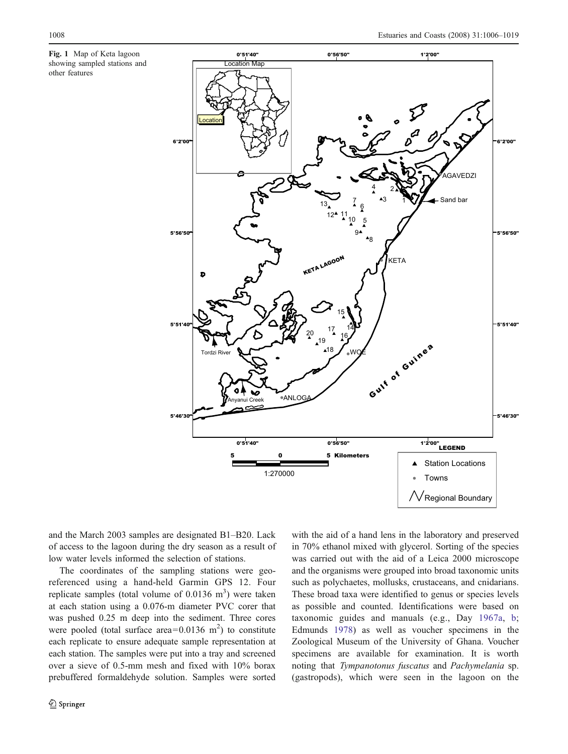<span id="page-3-0"></span>Fig. 1 Map of Keta lagoon showing sampled stations and other features



and the March 2003 samples are designated B1–B20. Lack of access to the lagoon during the dry season as a result of low water levels informed the selection of stations.

The coordinates of the sampling stations were georeferenced using a hand-held Garmin GPS 12. Four replicate samples (total volume of  $0.0136 \text{ m}^3$ ) were taken at each station using a 0.076-m diameter PVC corer that was pushed 0.25 m deep into the sediment. Three cores were pooled (total surface area= $0.0136$  m<sup>2</sup>) to constitute each replicate to ensure adequate sample representation at each station. The samples were put into a tray and screened over a sieve of 0.5-mm mesh and fixed with 10% borax prebuffered formaldehyde solution. Samples were sorted

with the aid of a hand lens in the laboratory and preserved in 70% ethanol mixed with glycerol. Sorting of the species was carried out with the aid of a Leica 2000 microscope and the organisms were grouped into broad taxonomic units such as polychaetes, mollusks, crustaceans, and cnidarians. These broad taxa were identified to genus or species levels as possible and counted. Identifications were based on taxonomic guides and manuals (e.g., Day [1967a](#page-13-0), [b;](#page-13-0) Edmunds [1978](#page-13-0)) as well as voucher specimens in the Zoological Museum of the University of Ghana. Voucher specimens are available for examination. It is worth noting that Tympanotonus fuscatus and Pachymelania sp. (gastropods), which were seen in the lagoon on the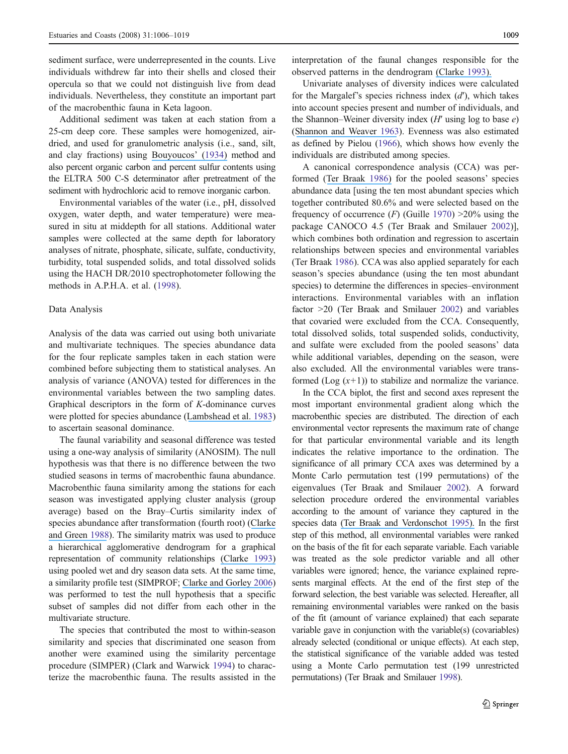sediment surface, were underrepresented in the counts. Live individuals withdrew far into their shells and closed their opercula so that we could not distinguish live from dead individuals. Nevertheless, they constitute an important part of the macrobenthic fauna in Keta lagoon.

Additional sediment was taken at each station from a 25-cm deep core. These samples were homogenized, airdried, and used for granulometric analysis (i.e., sand, silt, and clay fractions) using [Bouyoucos](https://www.researchgate.net/publication/250094718_An_Improvement_in_the_Hydrometer_Method_for_Making_Mechanical_Analyses_of_Soils?el=1_x_8&enrichId=rgreq-43301336f11efd93653b6a2898d99141-XXX&enrichSource=Y292ZXJQYWdlOzIyNjkxNDU1NztBUzo5OTIyNzk1MDY0OTM1NEAxNDAwNjY5MTk1NjM3)' ([1934\)](#page-13-0) method and also percent organic carbon and percent sulfur contents using the ELTRA 500 C-S determinator after pretreatment of the sediment with hydrochloric acid to remove inorganic carbon.

Environmental variables of the water (i.e., pH, dissolved oxygen, water depth, and water temperature) were measured in situ at middepth for all stations. Additional water samples were collected at the same depth for laboratory analyses of nitrate, phosphate, silicate, sulfate, conductivity, turbidity, total suspended solids, and total dissolved solids using the HACH DR/2010 spectrophotometer following the methods in A.P.H.A. et al. ([1998\)](#page-13-0).

#### Data Analysis

Analysis of the data was carried out using both univariate and multivariate techniques. The species abundance data for the four replicate samples taken in each station were combined before subjecting them to statistical analyses. An analysis of variance (ANOVA) tested for differences in the environmental variables between the two sampling dates. Graphical descriptors in the form of K-dominance curves were plotted for species abundance ([Lambshead et al.](https://www.researchgate.net/publication/247509633_The_detection_of_differences_among_assemblages_of_marine_benthic_species_based_on_an_assessment_of_dominance_and_diversity?el=1_x_8&enrichId=rgreq-43301336f11efd93653b6a2898d99141-XXX&enrichSource=Y292ZXJQYWdlOzIyNjkxNDU1NztBUzo5OTIyNzk1MDY0OTM1NEAxNDAwNjY5MTk1NjM3) [1983\)](#page-14-0) to ascertain seasonal dominance.

The faunal variability and seasonal difference was tested using a one-way analysis of similarity (ANOSIM). The null hypothesis was that there is no difference between the two studied seasons in terms of macrobenthic fauna abundance. Macrobenthic fauna similarity among the stations for each season was investigated applying cluster analysis (group average) based on the Bray–Curtis similarity index of species abundance after transformation (fourth root) ([Clarke](https://www.researchgate.net/publication/240311001_Statistical_Design_and_Analysis_for_a_) [and Green](https://www.researchgate.net/publication/240311001_Statistical_Design_and_Analysis_for_a_) [1988](#page-13-0)). The similarity matrix was used to produce a hierarchical agglomerative dendrogram for a graphical representation of community relationships [\(Clarke](https://www.researchgate.net/publication/216900072_Nonparametric_Multivariate_Analyses_of_Changes_in_Community_Structure?el=1_x_8&enrichId=rgreq-43301336f11efd93653b6a2898d99141-XXX&enrichSource=Y292ZXJQYWdlOzIyNjkxNDU1NztBUzo5OTIyNzk1MDY0OTM1NEAxNDAwNjY5MTk1NjM3) [1993\)](#page-13-0) using pooled wet and dry season data sets. At the same time, a similarity profile test (SIMPROF; [Clarke and Gorley](https://www.researchgate.net/publication/235425881_Primer_v6_User_ManualTutorial?el=1_x_8&enrichId=rgreq-43301336f11efd93653b6a2898d99141-XXX&enrichSource=Y292ZXJQYWdlOzIyNjkxNDU1NztBUzo5OTIyNzk1MDY0OTM1NEAxNDAwNjY5MTk1NjM3) [2006\)](#page-13-0) was performed to test the null hypothesis that a specific subset of samples did not differ from each other in the multivariate structure.

The species that contributed the most to within-season similarity and species that discriminated one season from another were examined using the similarity percentage procedure (SIMPER) (Clark and Warwick [1994](#page-13-0)) to characterize the macrobenthic fauna. The results assisted in the interpretation of the faunal changes responsible for the observed patterns in the dendrogram [\(Clarke](https://www.researchgate.net/publication/216900072_Nonparametric_Multivariate_Analyses_of_Changes_in_Community_Structure?el=1_x_8&enrichId=rgreq-43301336f11efd93653b6a2898d99141-XXX&enrichSource=Y292ZXJQYWdlOzIyNjkxNDU1NztBUzo5OTIyNzk1MDY0OTM1NEAxNDAwNjY5MTk1NjM3) [1993\)](#page-13-0).

Univariate analyses of diversity indices were calculated for the Margalef's species richness index  $(d')$ , which takes into account species present and number of individuals, and the Shannon–Weiner diversity index  $(H'$  using log to base  $e$ ) ([Shannon and Weaver](https://www.researchgate.net/publication/215446181_The_Mathematical_Theory_of_Communication_Urbana?el=1_x_8&enrichId=rgreq-43301336f11efd93653b6a2898d99141-XXX&enrichSource=Y292ZXJQYWdlOzIyNjkxNDU1NztBUzo5OTIyNzk1MDY0OTM1NEAxNDAwNjY5MTk1NjM3) [1963](#page-14-0)). Evenness was also estimated as defined by Pielou ([1966](#page-14-0)), which shows how evenly the individuals are distributed among species.

A canonical correspondence analysis (CCA) was performed ([Ter Braak](https://www.researchgate.net/publication/216900651_Canonical_Correspondence_Analysis_A_New_Eigenvector_Technique_for_Multivariate_Direct_Gradient_Analysis?el=1_x_8&enrichId=rgreq-43301336f11efd93653b6a2898d99141-XXX&enrichSource=Y292ZXJQYWdlOzIyNjkxNDU1NztBUzo5OTIyNzk1MDY0OTM1NEAxNDAwNjY5MTk1NjM3) [1986](#page-14-0)) for the pooled seasons' species abundance data [using the ten most abundant species which together contributed 80.6% and were selected based on the frequency of occurrence  $(F)$  (Guille [1970\)](#page-14-0) >20% using the package CANOCO 4.5 (Ter Braak and Smilauer [2002](#page-14-0))], which combines both ordination and regression to ascertain relationships between species and environmental variables (Ter Braak [1986](#page-14-0)). CCA was also applied separately for each season's species abundance (using the ten most abundant species) to determine the differences in species–environment interactions. Environmental variables with an inflation factor >20 (Ter Braak and Smilauer [2002\)](#page-14-0) and variables that covaried were excluded from the CCA. Consequently, total dissolved solids, total suspended solids, conductivity, and sulfate were excluded from the pooled seasons' data while additional variables, depending on the season, were also excluded. All the environmental variables were transformed  $(Log(x+1))$  to stabilize and normalize the variance.

In the CCA biplot, the first and second axes represent the most important environmental gradient along which the macrobenthic species are distributed. The direction of each environmental vector represents the maximum rate of change for that particular environmental variable and its length indicates the relative importance to the ordination. The significance of all primary CCA axes was determined by a Monte Carlo permutation test (199 permutations) of the eigenvalues (Ter Braak and Smilauer [2002](#page-14-0)). A forward selection procedure ordered the environmental variables according to the amount of variance they captured in the species data [\(Ter Braak and Verdonschot](https://www.researchgate.net/publication/226318177_Canonical_correspondence_analysis_and_related_multivariate_methods_in_aquatic_ecology?el=1_x_8&enrichId=rgreq-43301336f11efd93653b6a2898d99141-XXX&enrichSource=Y292ZXJQYWdlOzIyNjkxNDU1NztBUzo5OTIyNzk1MDY0OTM1NEAxNDAwNjY5MTk1NjM3) [1995](#page-14-0)). In the first step of this method, all environmental variables were ranked on the basis of the fit for each separate variable. Each variable was treated as the sole predictor variable and all other variables were ignored; hence, the variance explained represents marginal effects. At the end of the first step of the forward selection, the best variable was selected. Hereafter, all remaining environmental variables were ranked on the basis of the fit (amount of variance explained) that each separate variable gave in conjunction with the variable(s) (covariables) already selected (conditional or unique effects). At each step, the statistical significance of the variable added was tested using a Monte Carlo permutation test (199 unrestricted permutations) (Ter Braak and Smilauer [1998\)](#page-14-0).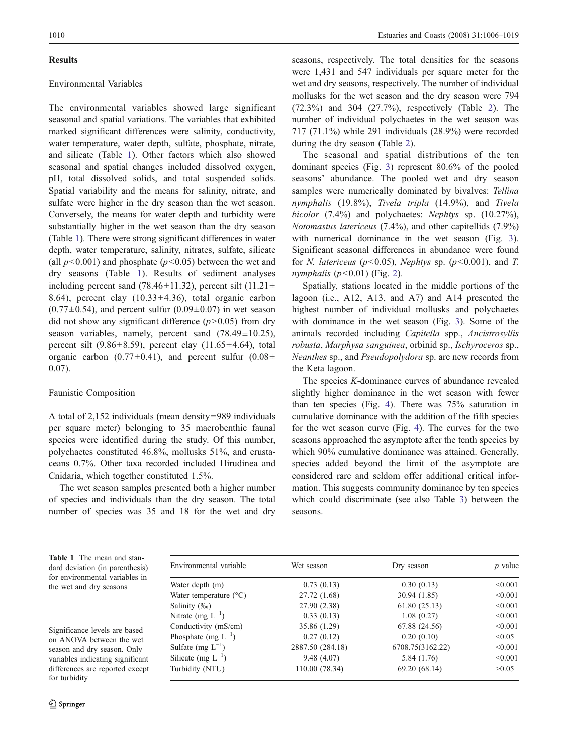#### <span id="page-5-0"></span>Results

## Environmental Variables

The environmental variables showed large significant seasonal and spatial variations. The variables that exhibited marked significant differences were salinity, conductivity, water temperature, water depth, sulfate, phosphate, nitrate, and silicate (Table 1). Other factors which also showed seasonal and spatial changes included dissolved oxygen, pH, total dissolved solids, and total suspended solids. Spatial variability and the means for salinity, nitrate, and sulfate were higher in the dry season than the wet season. Conversely, the means for water depth and turbidity were substantially higher in the wet season than the dry season (Table 1). There were strong significant differences in water depth, water temperature, salinity, nitrates, sulfate, silicate (all  $p<0.001$ ) and phosphate ( $p<0.05$ ) between the wet and dry seasons (Table 1). Results of sediment analyses including percent sand (78.46 $\pm$ 11.32), percent silt (11.21 $\pm$ 8.64), percent clay  $(10.33 \pm 4.36)$ , total organic carbon  $(0.77\pm0.54)$ , and percent sulfur  $(0.09\pm0.07)$  in wet season did not show any significant difference  $(p>0.05)$  from dry season variables, namely, percent sand  $(78.49 \pm 10.25)$ , percent silt (9.86 $\pm$ 8.59), percent clay (11.65 $\pm$ 4.64), total organic carbon (0.77 $\pm$ 0.41), and percent sulfur (0.08 $\pm$ 0.07).

#### Faunistic Composition

A total of 2,152 individuals (mean density=989 individuals per square meter) belonging to 35 macrobenthic faunal species were identified during the study. Of this number, polychaetes constituted 46.8%, mollusks 51%, and crustaceans 0.7%. Other taxa recorded included Hirudinea and Cnidaria, which together constituted 1.5%.

The wet season samples presented both a higher number of species and individuals than the dry season. The total number of species was 35 and 18 for the wet and dry seasons, respectively. The total densities for the seasons were 1,431 and 547 individuals per square meter for the wet and dry seasons, respectively. The number of individual mollusks for the wet season and the dry season were 794 (72.3%) and 304 (27.7%), respectively (Table [2](#page-6-0)). The number of individual polychaetes in the wet season was 717 (71.1%) while 291 individuals (28.9%) were recorded during the dry season (Table [2](#page-6-0)).

The seasonal and spatial distributions of the ten dominant species (Fig. [3](#page-7-0)) represent 80.6% of the pooled seasons' abundance. The pooled wet and dry season samples were numerically dominated by bivalves: Tellina nymphalis (19.8%), Tivela tripla (14.9%), and Tivela bicolor (7.4%) and polychaetes: Nephtys sp. (10.27%), Notomastus latericeus (7.4%), and other capitellids (7.9%) with numerical dominance in the wet season (Fig. [3\)](#page-7-0). Significant seasonal differences in abundance were found for *N. latericeus* ( $p$ <0.05), *Nephtys* sp. ( $p$ <0.001), and *T.* nymphalis  $(p<0.01)$  (Fig. [2\)](#page-6-0).

Spatially, stations located in the middle portions of the lagoon (i.e., A12, A13, and A7) and A14 presented the highest number of individual mollusks and polychaetes with dominance in the wet season (Fig. [3](#page-7-0)). Some of the animals recorded including Capitella spp., Ancistrosyllis robusta, Marphysa sanguinea, orbinid sp., Ischyroceros sp., Neanthes sp., and Pseudopolydora sp. are new records from the Keta lagoon.

The species K-dominance curves of abundance revealed slightly higher dominance in the wet season with fewer than ten species (Fig. [4\)](#page-8-0). There was 75% saturation in cumulative dominance with the addition of the fifth species for the wet season curve (Fig. [4\)](#page-8-0). The curves for the two seasons approached the asymptote after the tenth species by which 90% cumulative dominance was attained. Generally, species added beyond the limit of the asymptote are considered rare and seldom offer additional critical information. This suggests community dominance by ten species which could discriminate (see also Table [3\)](#page-8-0) between the seasons.

Table 1 The mean and standard deviation (in parenthesis) for environmental variables in the wet and dry seasons

Significance levels are based on ANOVA between the wet season and dry season. Only variables indicating significant differences are reported except for turbidity

| Environmental variable          | Wet season       | Dry season       | $p$ value |
|---------------------------------|------------------|------------------|-----------|
| Water depth (m)                 | 0.73(0.13)       | 0.30(0.13)       | < 0.001   |
| Water temperature $(^{\circ}C)$ | 27.72 (1.68)     | 30.94 (1.85)     | < 0.001   |
| Salinity (‰)                    | 27.90 (2.38)     | 61.80(25.13)     | < 0.001   |
| Nitrate (mg $L^{-1}$ )          | 0.33(0.13)       | 1.08(0.27)       | < 0.001   |
| Conductivity (mS/cm)            | 35.86 (1.29)     | 67.88 (24.56)    | < 0.001   |
| Phosphate (mg $L^{-1}$ )        | 0.27(0.12)       | 0.20(0.10)       | < 0.05    |
| Sulfate (mg $L^{-1}$ )          | 2887.50 (284.18) | 6708.75(3162.22) | < 0.001   |
| Silicate (mg $L^{-1}$ )         | 9.48(4.07)       | 5.84 (1.76)      | < 0.001   |
| Turbidity (NTU)                 | 110.00 (78.34)   | 69.20 (68.14)    | >0.05     |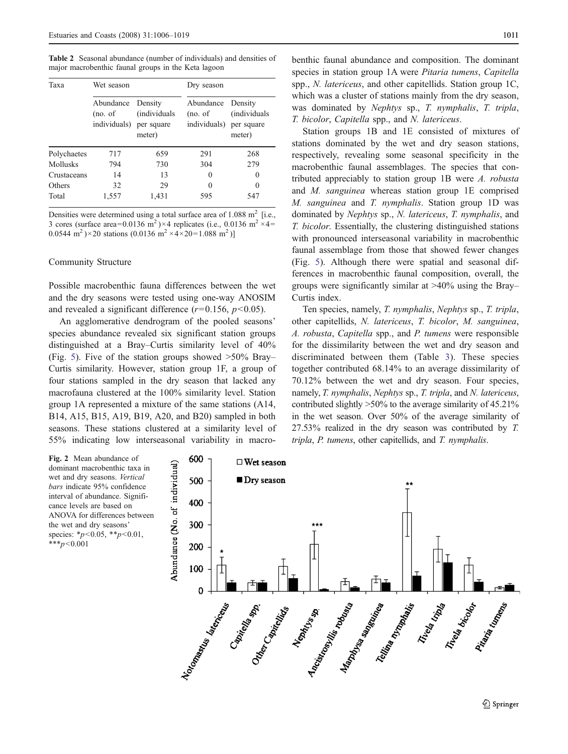<span id="page-6-0"></span>Table 2 Seasonal abundance (number of individuals) and densities of major macrobenthic faunal groups in the Keta lagoon

| Taxa        | Wet season                           |                                                         | Dry season                           |                                                         |
|-------------|--------------------------------------|---------------------------------------------------------|--------------------------------------|---------------------------------------------------------|
|             | Abundance<br>(no. of<br>individuals) | Density<br><i>(individuals)</i><br>per square<br>meter) | Abundance<br>(no. of<br>individuals) | Density<br><i>(individuals)</i><br>per square<br>meter) |
| Polychaetes | 717                                  | 659                                                     | 291                                  | 268                                                     |
| Mollusks    | 794                                  | 730                                                     | 304                                  | 279                                                     |
| Crustaceans | 14                                   | 13                                                      | 0                                    | $\Omega$                                                |
| Others      | 32                                   | 29                                                      | 0                                    | 0                                                       |
| Total       | 1,557                                | 1,431                                                   | 595                                  | 547                                                     |

Densities were determined using a total surface area of  $1.088 \text{ m}^2$  [i.e., 3 cores (surface area=0.0136 m<sup>2</sup>)×4 replicates (i.e., 0.0136 m<sup>2</sup> ×4= 0.0544 m<sup>2</sup>)×20 stations (0.0136 m<sup>2</sup> ×4×20=1.088 m<sup>2</sup>)]

#### Community Structure

Possible macrobenthic fauna differences between the wet and the dry seasons were tested using one-way ANOSIM and revealed a significant difference  $(r=0.156, p<0.05)$ .

An agglomerative dendrogram of the pooled seasons' species abundance revealed six significant station groups distinguished at a Bray–Curtis similarity level of 40% (Fig. [5](#page-9-0)). Five of the station groups showed  $>50\%$  Bray– Curtis similarity. However, station group 1F, a group of four stations sampled in the dry season that lacked any macrofauna clustered at the 100% similarity level. Station group 1A represented a mixture of the same stations (A14, B14, A15, B15, A19, B19, A20, and B20) sampled in both seasons. These stations clustered at a similarity level of 55% indicating low interseasonal variability in macro-

benthic faunal abundance and composition. The dominant species in station group 1A were Pitaria tumens, Capitella spp., N. latericeus, and other capitellids. Station group 1C, which was a cluster of stations mainly from the dry season, was dominated by Nephtys sp., T. nymphalis, T. tripla, T. bicolor, Capitella spp., and N. latericeus.

Station groups 1B and 1E consisted of mixtures of stations dominated by the wet and dry season stations, respectively, revealing some seasonal specificity in the macrobenthic faunal assemblages. The species that contributed appreciably to station group 1B were A. robusta and M. sanguinea whereas station group 1E comprised M. sanguinea and T. nymphalis. Station group 1D was dominated by Nephtys sp., N. latericeus, T. nymphalis, and T. bicolor. Essentially, the clustering distinguished stations with pronounced interseasonal variability in macrobenthic faunal assemblage from those that showed fewer changes (Fig. [5\)](#page-9-0). Although there were spatial and seasonal differences in macrobenthic faunal composition, overall, the groups were significantly similar at >40% using the Bray– Curtis index.

Ten species, namely, T. nymphalis, Nephtys sp., T. tripla, other capitellids, N. latericeus, T. bicolor, M. sanguinea, A. robusta, Capitella spp., and P. tumens were responsible for the dissimilarity between the wet and dry season and discriminated between them (Table [3](#page-8-0)). These species together contributed 68.14% to an average dissimilarity of 70.12% between the wet and dry season. Four species, namely, T. nymphalis, Nephtys sp., T. tripla, and N. latericeus, contributed slightly >50% to the average similarity of 45.21% in the wet season. Over 50% of the average similarity of 27.53% realized in the dry season was contributed by T. tripla, P. tumens, other capitellids, and T. nymphalis.

Fig. 2 Mean abundance of dominant macrobenthic taxa in wet and dry seasons. Vertical bars indicate 95% confidence interval of abundance. Significance levels are based on ANOVA for differences between the wet and dry seasons' species: \* $p$ <0.05, \*\* $p$ <0.01,  $***p<0.001$ 

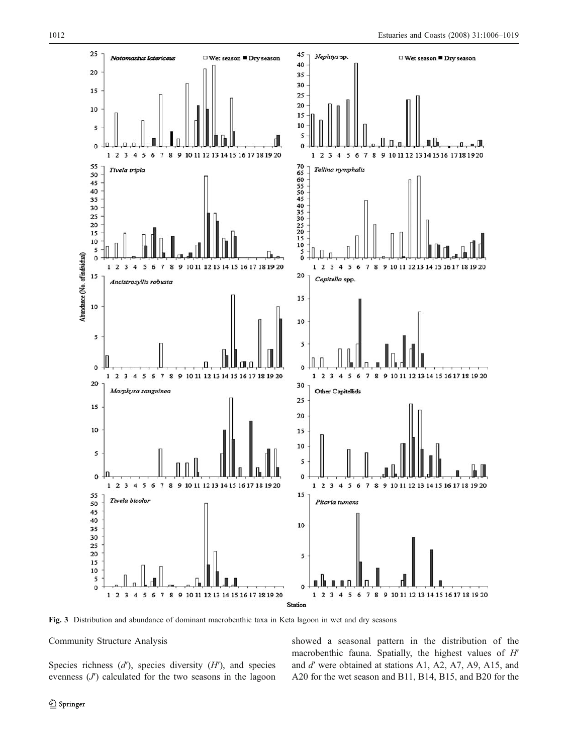<span id="page-7-0"></span>

Fig. 3 Distribution and abundance of dominant macrobenthic taxa in Keta lagoon in wet and dry seasons

# Community Structure Analysis

Species richness  $(d')$ , species diversity  $(H')$ , and species evenness  $(J')$  calculated for the two seasons in the lagoon showed a seasonal pattern in the distribution of the macrobenthic fauna. Spatially, the highest values of H' and d′ were obtained at stations A1, A2, A7, A9, A15, and A20 for the wet season and B11, B14, B15, and B20 for the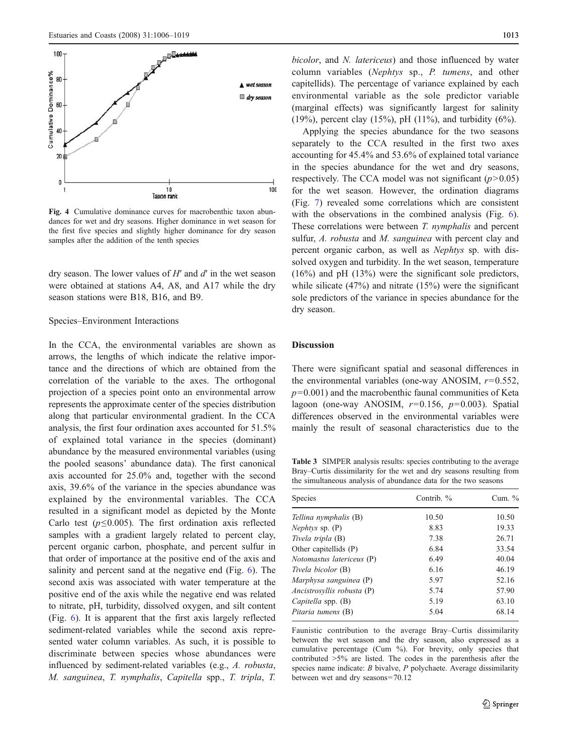<span id="page-8-0"></span>

Fig. 4 Cumulative dominance curves for macrobenthic taxon abundances for wet and dry seasons. Higher dominance in wet season for the first five species and slightly higher dominance for dry season samples after the addition of the tenth species

dry season. The lower values of  $H'$  and  $d'$  in the wet season were obtained at stations A4, A8, and A17 while the dry season stations were B18, B16, and B9.

#### Species–Environment Interactions

In the CCA, the environmental variables are shown as arrows, the lengths of which indicate the relative importance and the directions of which are obtained from the correlation of the variable to the axes. The orthogonal projection of a species point onto an environmental arrow represents the approximate center of the species distribution along that particular environmental gradient. In the CCA analysis, the first four ordination axes accounted for 51.5% of explained total variance in the species (dominant) abundance by the measured environmental variables (using the pooled seasons' abundance data). The first canonical axis accounted for 25.0% and, together with the second axis, 39.6% of the variance in the species abundance was explained by the environmental variables. The CCA resulted in a significant model as depicted by the Monte Carlo test ( $p \le 0.005$ ). The first ordination axis reflected samples with a gradient largely related to percent clay, percent organic carbon, phosphate, and percent sulfur in that order of importance at the positive end of the axis and salinity and percent sand at the negative end (Fig. [6\)](#page-10-0). The second axis was associated with water temperature at the positive end of the axis while the negative end was related to nitrate, pH, turbidity, dissolved oxygen, and silt content (Fig. [6](#page-10-0)). It is apparent that the first axis largely reflected sediment-related variables while the second axis represented water column variables. As such, it is possible to discriminate between species whose abundances were influenced by sediment-related variables (e.g., A. robusta, M. sanguinea, T. nymphalis, Capitella spp., T. tripla, T. bicolor, and N. latericeus) and those influenced by water column variables (Nephtys sp., P. tumens, and other capitellids). The percentage of variance explained by each environmental variable as the sole predictor variable (marginal effects) was significantly largest for salinity (19%), percent clay (15%), pH (11%), and turbidity (6%).

Applying the species abundance for the two seasons separately to the CCA resulted in the first two axes accounting for 45.4% and 53.6% of explained total variance in the species abundance for the wet and dry seasons, respectively. The CCA model was not significant  $(p>0.05)$ for the wet season. However, the ordination diagrams (Fig. [7](#page-11-0)) revealed some correlations which are consistent with the observations in the combined analysis (Fig. [6\)](#page-10-0). These correlations were between T. nymphalis and percent sulfur, A. robusta and M. sanguinea with percent clay and percent organic carbon, as well as Nephtys sp. with dissolved oxygen and turbidity. In the wet season, temperature  $(16\%)$  and pH  $(13\%)$  were the significant sole predictors, while silicate (47%) and nitrate (15%) were the significant sole predictors of the variance in species abundance for the dry season.

## Discussion

There were significant spatial and seasonal differences in the environmental variables (one-way ANOSIM,  $r=0.552$ ,  $p=0.001$ ) and the macrobenthic faunal communities of Keta lagoon (one-way ANOSIM,  $r=0.156$ ,  $p=0.003$ ). Spatial differences observed in the environmental variables were mainly the result of seasonal characteristics due to the

Table 3 SIMPER analysis results: species contributing to the average Bray–Curtis dissimilarity for the wet and dry seasons resulting from the simultaneous analysis of abundance data for the two seasons

| Species                    | Contrib. % | Cum. $\%$ |  |
|----------------------------|------------|-----------|--|
| Tellina nymphalis (B)      | 10.50      | 10.50     |  |
| <i>Nephtys</i> sp. $(P)$   | 8.83       | 19.33     |  |
| Tivela tripla (B)          | 7.38       | 26.71     |  |
| Other capitellids (P)      | 6.84       | 33.54     |  |
| Notomastus latericeus (P)  | 6.49       | 40.04     |  |
| Tivela bicolor (B)         | 6.16       | 46.19     |  |
| Marphysa sanguinea (P)     | 5.97       | 52.16     |  |
| Ancistrosyllis robusta (P) | 5.74       | 57.90     |  |
| Capitella spp. (B)         | 5.19       | 63.10     |  |
| Pitaria tumens (B)         | 5.04       | 68.14     |  |

Faunistic contribution to the average Bray–Curtis dissimilarity between the wet season and the dry season, also expressed as a cumulative percentage (Cum %). For brevity, only species that contributed >5% are listed. The codes in the parenthesis after the species name indicate:  $B$  bivalve,  $P$  polychaete. Average dissimilarity between wet and dry seasons=70.12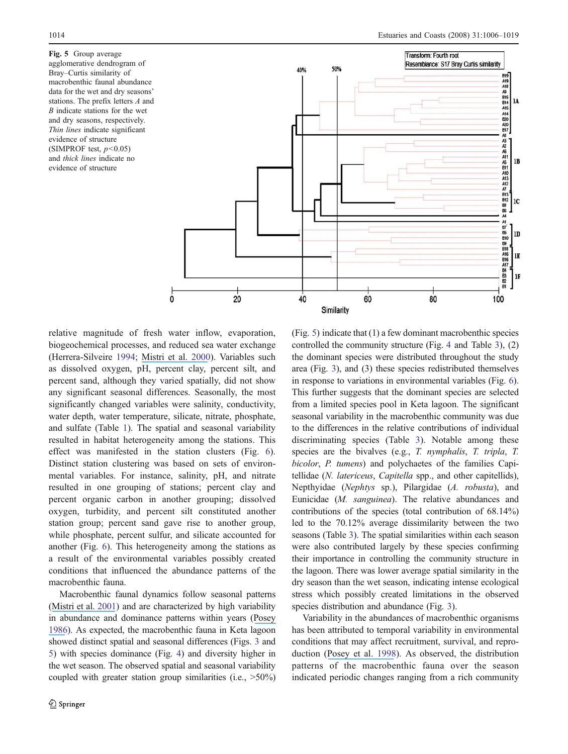<span id="page-9-0"></span>Fig. 5 Group average agglomerative dendrogram of Bray–Curtis similarity of macrobenthic faunal abundance data for the wet and dry seasons' stations. The prefix letters A and B indicate stations for the wet and dry seasons, respectively. Thin lines indicate significant evidence of structure (SIMPROF test,  $p < 0.05$ ) and thick lines indicate no evidence of structure



relative magnitude of fresh water inflow, evaporation, biogeochemical processes, and reduced sea water exchange (Herrera-Silveire [1994;](#page-14-0) [Mistri et al.](https://www.researchgate.net/publication/248575683_Variability_in_Macrobenthos_Communities_in_the_Valli_di_Comacchio_Northern_Italy_a_Hypereutrophized_Lagoonal_Ecosystem?el=1_x_8&enrichId=rgreq-43301336f11efd93653b6a2898d99141-XXX&enrichSource=Y292ZXJQYWdlOzIyNjkxNDU1NztBUzo5OTIyNzk1MDY0OTM1NEAxNDAwNjY5MTk1NjM3) [2000\)](#page-14-0). Variables such as dissolved oxygen, pH, percent clay, percent silt, and percent sand, although they varied spatially, did not show any significant seasonal differences. Seasonally, the most significantly changed variables were salinity, conductivity, water depth, water temperature, silicate, nitrate, phosphate, and sulfate (Table [1\)](#page-5-0). The spatial and seasonal variability resulted in habitat heterogeneity among the stations. This effect was manifested in the station clusters (Fig. [6](#page-10-0)). Distinct station clustering was based on sets of environmental variables. For instance, salinity, pH, and nitrate resulted in one grouping of stations; percent clay and percent organic carbon in another grouping; dissolved oxygen, turbidity, and percent silt constituted another station group; percent sand gave rise to another group, while phosphate, percent sulfur, and silicate accounted for another (Fig. [6](#page-10-0)). This heterogeneity among the stations as a result of the environmental variables possibly created conditions that influenced the abundance patterns of the macrobenthic fauna.

Macrobenthic faunal dynamics follow seasonal patterns ([Mistri et al.](https://www.researchgate.net/publication/240441747_Structure_and_Secondary_Production_of_a_Soft_Bottom_Macrobenthic_Community_in_a_Brackish_Lagoon_Sacca_di_Goro_north-eastern_Italy?el=1_x_8&enrichId=rgreq-43301336f11efd93653b6a2898d99141-XXX&enrichSource=Y292ZXJQYWdlOzIyNjkxNDU1NztBUzo5OTIyNzk1MDY0OTM1NEAxNDAwNjY5MTk1NjM3) [2001\)](#page-14-0) and are characterized by high variability in abundance and dominance patterns within years ([Posey](https://www.researchgate.net/publication/250214225_Changes_in_a_benthic_community_associated_with_dense_beds_of_a_burrowing_deposit_feeder_Callianassa_californiensis?el=1_x_8&enrichId=rgreq-43301336f11efd93653b6a2898d99141-XXX&enrichSource=Y292ZXJQYWdlOzIyNjkxNDU1NztBUzo5OTIyNzk1MDY0OTM1NEAxNDAwNjY5MTk1NjM3) [1986\)](#page-14-0). As expected, the macrobenthic fauna in Keta lagoon showed distinct spatial and seasonal differences (Figs. [3](#page-7-0) and 5) with species dominance (Fig. [4](#page-8-0)) and diversity higher in the wet season. The observed spatial and seasonal variability coupled with greater station group similarities (i.e.,  $>50\%$ ) (Fig. 5) indicate that (1) a few dominant macrobenthic species controlled the community structure (Fig. [4](#page-8-0) and Table [3\)](#page-8-0), (2) the dominant species were distributed throughout the study area (Fig. [3\)](#page-7-0), and (3) these species redistributed themselves in response to variations in environmental variables (Fig. [6\)](#page-10-0). This further suggests that the dominant species are selected from a limited species pool in Keta lagoon. The significant seasonal variability in the macrobenthic community was due to the differences in the relative contributions of individual discriminating species (Table [3\)](#page-8-0). Notable among these species are the bivalves (e.g., T. nymphalis, T. tripla, T. bicolor, P. tumens) and polychaetes of the families Capitellidae (N. latericeus, Capitella spp., and other capitellids), Nepthyidae (Nephtys sp.), Pilargidae (A. robusta), and Eunicidae (M. sanguinea). The relative abundances and contributions of the species (total contribution of 68.14%) led to the 70.12% average dissimilarity between the two seasons (Table [3\)](#page-8-0). The spatial similarities within each season were also contributed largely by these species confirming their importance in controlling the community structure in the lagoon. There was lower average spatial similarity in the dry season than the wet season, indicating intense ecological stress which possibly created limitations in the observed species distribution and abundance (Fig. [3\)](#page-7-0).

Variability in the abundances of macrobenthic organisms has been attributed to temporal variability in environmental conditions that may affect recruitment, survival, and reproduction ([Posey et al.](https://www.researchgate.net/publication/233648017_Temporal_Variability_Diversity_and_Guild_Structure_of_a_Benthic_Community_in_the_Northeastern_Gulf_of_Mexico?el=1_x_8&enrichId=rgreq-43301336f11efd93653b6a2898d99141-XXX&enrichSource=Y292ZXJQYWdlOzIyNjkxNDU1NztBUzo5OTIyNzk1MDY0OTM1NEAxNDAwNjY5MTk1NjM3) [1998\)](#page-14-0). As observed, the distribution patterns of the macrobenthic fauna over the season indicated periodic changes ranging from a rich community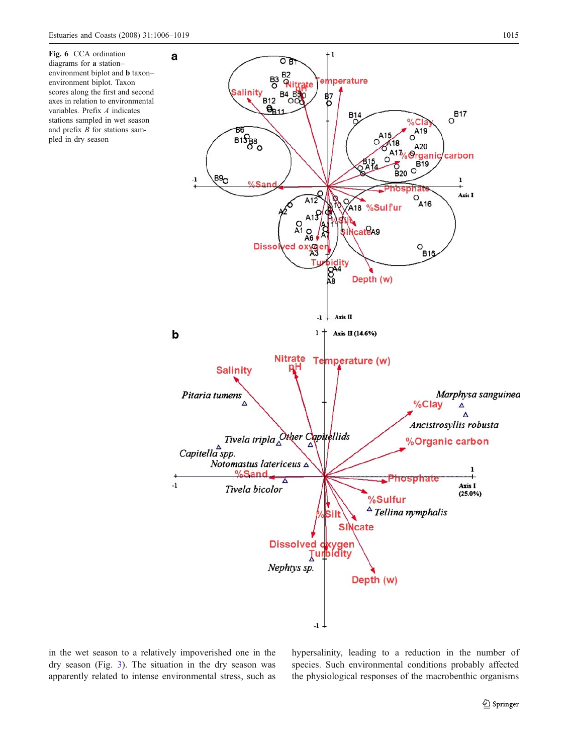<span id="page-10-0"></span>

in the wet season to a relatively impoverished one in the dry season (Fig. [3\)](#page-7-0). The situation in the dry season was apparently related to intense environmental stress, such as hypersalinity, leading to a reduction in the number of species. Such environmental conditions probably affected the physiological responses of the macrobenthic organisms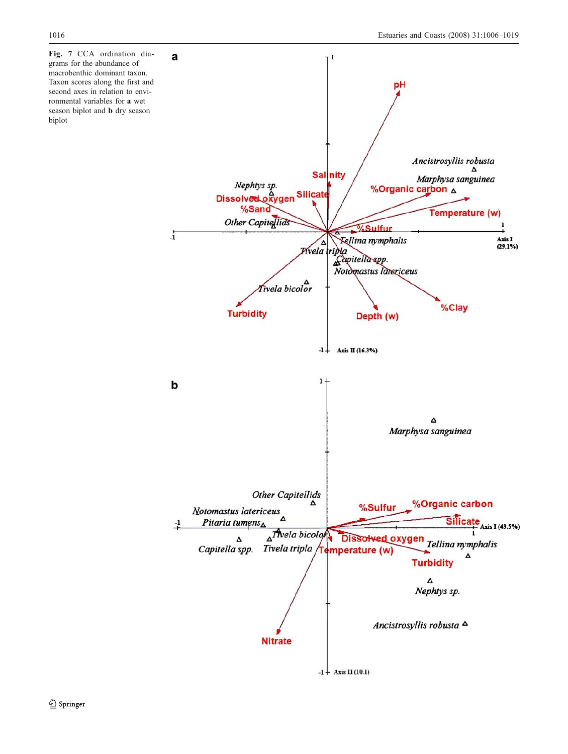<span id="page-11-0"></span>Fig. 7 CCA ordination diagrams for the abundance of macrobenthic dominant taxon. Taxon scores along the first and second axes in relation to environmental variables for a wet season biplot and b dry season biplot

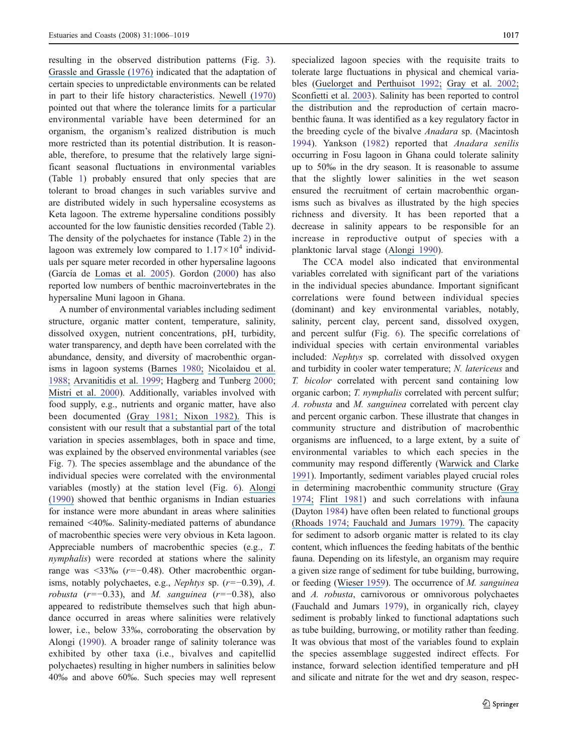resulting in the observed distribution patterns (Fig. [3](#page-7-0)). [Grassle and Grassle \(](https://www.researchgate.net/publication/260920385_Sibling_Species_in_the_Marine_Pollution_Indicator_Capitella_Polychaeta?el=1_x_8&enrichId=rgreq-43301336f11efd93653b6a2898d99141-XXX&enrichSource=Y292ZXJQYWdlOzIyNjkxNDU1NztBUzo5OTIyNzk1MDY0OTM1NEAxNDAwNjY5MTk1NjM3)[1976](#page-14-0)[\)](https://www.researchgate.net/publication/260920385_Sibling_Species_in_the_Marine_Pollution_Indicator_Capitella_Polychaeta?el=1_x_8&enrichId=rgreq-43301336f11efd93653b6a2898d99141-XXX&enrichSource=Y292ZXJQYWdlOzIyNjkxNDU1NztBUzo5OTIyNzk1MDY0OTM1NEAxNDAwNjY5MTk1NjM3) indicated that the adaptation of certain species to unpredictable environments can be related in part to their life history characteristics. [Newell \(](https://www.researchgate.net/publication/255981259_The_Biology_of_Intertidal_Animals?el=1_x_8&enrichId=rgreq-43301336f11efd93653b6a2898d99141-XXX&enrichSource=Y292ZXJQYWdlOzIyNjkxNDU1NztBUzo5OTIyNzk1MDY0OTM1NEAxNDAwNjY5MTk1NjM3)[1970](#page-14-0)[\)](https://www.researchgate.net/publication/255981259_The_Biology_of_Intertidal_Animals?el=1_x_8&enrichId=rgreq-43301336f11efd93653b6a2898d99141-XXX&enrichSource=Y292ZXJQYWdlOzIyNjkxNDU1NztBUzo5OTIyNzk1MDY0OTM1NEAxNDAwNjY5MTk1NjM3) pointed out that where the tolerance limits for a particular environmental variable have been determined for an organism, the organism's realized distribution is much more restricted than its potential distribution. It is reasonable, therefore, to presume that the relatively large significant seasonal fluctuations in environmental variables (Table [1\)](#page-5-0) probably ensured that only species that are tolerant to broad changes in such variables survive and are distributed widely in such hypersaline ecosystems as Keta lagoon. The extreme hypersaline conditions possibly accounted for the low faunistic densities recorded (Table [2](#page-6-0)). The density of the polychaetes for instance (Table [2](#page-6-0)) in the lagoon was extremely low compared to  $1.17 \times 10^4$  individuals per square meter recorded in other hypersaline lagoons (García de [Lomas et al.](https://www.researchgate.net/publication/234721830_Microbenthos_in_a_hypersaline_tidal_lagoon_Factors_affecting_microhabitat_community_structure_and_mass_exchange_at_the_sediment-water_interface?el=1_x_8&enrichId=rgreq-43301336f11efd93653b6a2898d99141-XXX&enrichSource=Y292ZXJQYWdlOzIyNjkxNDU1NztBUzo5OTIyNzk1MDY0OTM1NEAxNDAwNjY5MTk1NjM3) [2005\)](#page-13-0). Gordon [\(2000\)](#page-14-0) has also reported low numbers of benthic macroinvertebrates in the hypersaline Muni lagoon in Ghana.

A number of environmental variables including sediment structure, organic matter content, temperature, salinity, dissolved oxygen, nutrient concentrations, pH, turbidity, water transparency, and depth have been correlated with the abundance, density, and diversity of macrobenthic organisms in lagoon systems ([Barnes](https://www.researchgate.net/publication/37885080_Coastal_lagoons_the_natural_history_of_a_neglected_habitat?el=1_x_8&enrichId=rgreq-43301336f11efd93653b6a2898d99141-XXX&enrichSource=Y292ZXJQYWdlOzIyNjkxNDU1NztBUzo5OTIyNzk1MDY0OTM1NEAxNDAwNjY5MTk1NjM3) [1980;](#page-13-0) [Nicolaidou et al.](https://www.researchgate.net/publication/222439005_Distribution_of_molluscs_and_polychaetes_in_coastal_lagoons_in_Greece?el=1_x_8&enrichId=rgreq-43301336f11efd93653b6a2898d99141-XXX&enrichSource=Y292ZXJQYWdlOzIyNjkxNDU1NztBUzo5OTIyNzk1MDY0OTM1NEAxNDAwNjY5MTk1NjM3) [1988](#page-14-0)[;](https://www.researchgate.net/publication/222439005_Distribution_of_molluscs_and_polychaetes_in_coastal_lagoons_in_Greece?el=1_x_8&enrichId=rgreq-43301336f11efd93653b6a2898d99141-XXX&enrichSource=Y292ZXJQYWdlOzIyNjkxNDU1NztBUzo5OTIyNzk1MDY0OTM1NEAxNDAwNjY5MTk1NjM3) [Arvanitidis et al.](https://www.researchgate.net/publication/259361735_Annelid_fauna_of_a_Mediterranean_lagoon_Gialova_Lagoon_south-west_Greece_Community_structure_in_a_severely_fluctuating_environment?el=1_x_8&enrichId=rgreq-43301336f11efd93653b6a2898d99141-XXX&enrichSource=Y292ZXJQYWdlOzIyNjkxNDU1NztBUzo5OTIyNzk1MDY0OTM1NEAxNDAwNjY5MTk1NjM3) [1999](#page-13-0); Hagberg and Tunberg [2000](#page-14-0); [Mistri et al.](https://www.researchgate.net/publication/248575683_Variability_in_Macrobenthos_Communities_in_the_Valli_di_Comacchio_Northern_Italy_a_Hypereutrophized_Lagoonal_Ecosystem?el=1_x_8&enrichId=rgreq-43301336f11efd93653b6a2898d99141-XXX&enrichSource=Y292ZXJQYWdlOzIyNjkxNDU1NztBUzo5OTIyNzk1MDY0OTM1NEAxNDAwNjY5MTk1NjM3) [2000](#page-14-0)). Additionally, variables involved with food supply, e.g., nutrients and organic matter, have also been documented (Gray [1981](#page-14-0)[; Nixon](https://www.researchgate.net/publication/270101202_The_Ecology_of_Marine_Sediments?el=1_x_8&enrichId=rgreq-43301336f11efd93653b6a2898d99141-XXX&enrichSource=Y292ZXJQYWdlOzIyNjkxNDU1NztBUzo5OTIyNzk1MDY0OTM1NEAxNDAwNjY5MTk1NjM3) [1982](#page-14-0)). This is consistent with our result that a substantial part of the total variation in species assemblages, both in space and time, was explained by the observed environmental variables (see Fig. [7](#page-11-0)). The species assemblage and the abundance of the individual species were correlated with the environmental variables (mostly) at the station level (Fig. [6\)](#page-10-0). [Alongi](https://www.researchgate.net/publication/291348264_The_Ecology_of_Tropical_Soft-Bottom_Benthic_Ecosystems?el=1_x_8&enrichId=rgreq-43301336f11efd93653b6a2898d99141-XXX&enrichSource=Y292ZXJQYWdlOzIyNjkxNDU1NztBUzo5OTIyNzk1MDY0OTM1NEAxNDAwNjY5MTk1NjM3) [\(](https://www.researchgate.net/publication/291348264_The_Ecology_of_Tropical_Soft-Bottom_Benthic_Ecosystems?el=1_x_8&enrichId=rgreq-43301336f11efd93653b6a2898d99141-XXX&enrichSource=Y292ZXJQYWdlOzIyNjkxNDU1NztBUzo5OTIyNzk1MDY0OTM1NEAxNDAwNjY5MTk1NjM3)[1990](#page-13-0)[\)](https://www.researchgate.net/publication/291348264_The_Ecology_of_Tropical_Soft-Bottom_Benthic_Ecosystems?el=1_x_8&enrichId=rgreq-43301336f11efd93653b6a2898d99141-XXX&enrichSource=Y292ZXJQYWdlOzIyNjkxNDU1NztBUzo5OTIyNzk1MDY0OTM1NEAxNDAwNjY5MTk1NjM3) showed that benthic organisms in Indian estuaries for instance were more abundant in areas where salinities remained <40‰. Salinity-mediated patterns of abundance of macrobenthic species were very obvious in Keta lagoon. Appreciable numbers of macrobenthic species (e.g., T. nymphalis) were recorded at stations where the salinity range was  $\leq 33\%$  (r=−0.48). Other macrobenthic organisms, notably polychaetes, e.g., Nephtys sp. (r=−0.39), A. robusta (r=−0.33), and M. sanguinea (r=−0.38), also appeared to redistribute themselves such that high abundance occurred in areas where salinities were relatively lower, i.e., below 33‰, corroborating the observation by Alongi [\(1990\)](#page-13-0). A broader range of salinity tolerance was exhibited by other taxa (i.e., bivalves and capitellid polychaetes) resulting in higher numbers in salinities below 40‰ and above 60‰. Such species may well represent specialized lagoon species with the requisite traits to tolerate large fluctuations in physical and chemical variables ([Guelorget and Perthuisot](https://www.researchgate.net/publication/236272051_Paralic_ecosystems_biological_organization_and_functioning?el=1_x_8&enrichId=rgreq-43301336f11efd93653b6a2898d99141-XXX&enrichSource=Y292ZXJQYWdlOzIyNjkxNDU1NztBUzo5OTIyNzk1MDY0OTM1NEAxNDAwNjY5MTk1NjM3) [1992;](#page-14-0) [Gray et al.](https://www.researchgate.net/publication/236628372_Effects_of_hypoxia_and_organic_enrichment_on_the_coastal_marine_environment?el=1_x_8&enrichId=rgreq-43301336f11efd93653b6a2898d99141-XXX&enrichSource=Y292ZXJQYWdlOzIyNjkxNDU1NztBUzo5OTIyNzk1MDY0OTM1NEAxNDAwNjY5MTk1NjM3) [2002;](#page-14-0) [Sconfietti et al.](https://www.researchgate.net/publication/263565740_The_sessile_benthic_community_patterns_on_hard_bottoms_in_response_to_continental_vs_marine_influence_in_northern_Adriatic_lagoons?el=1_x_8&enrichId=rgreq-43301336f11efd93653b6a2898d99141-XXX&enrichSource=Y292ZXJQYWdlOzIyNjkxNDU1NztBUzo5OTIyNzk1MDY0OTM1NEAxNDAwNjY5MTk1NjM3) [2003\)](#page-14-0). Salinity has been reported to control the distribution and the reproduction of certain macrobenthic fauna. It was identified as a key regulatory factor in the breeding cycle of the bivalve Anadara sp. (Macintosh [1994\)](#page-14-0). Yankson ([1982\)](#page-14-0) reported that Anadara senilis occurring in Fosu lagoon in Ghana could tolerate salinity up to 50‰ in the dry season. It is reasonable to assume that the slightly lower salinities in the wet season ensured the recruitment of certain macrobenthic organisms such as bivalves as illustrated by the high species richness and diversity. It has been reported that a decrease in salinity appears to be responsible for an increase in reproductive output of species with a planktonic larval stage ([Alongi](https://www.researchgate.net/publication/291348264_The_Ecology_of_Tropical_Soft-Bottom_Benthic_Ecosystems?el=1_x_8&enrichId=rgreq-43301336f11efd93653b6a2898d99141-XXX&enrichSource=Y292ZXJQYWdlOzIyNjkxNDU1NztBUzo5OTIyNzk1MDY0OTM1NEAxNDAwNjY5MTk1NjM3) [1990](#page-13-0)).

The CCA model also indicated that environmental variables correlated with significant part of the variations in the individual species abundance. Important significant correlations were found between individual species (dominant) and key environmental variables, notably, salinity, percent clay, percent sand, dissolved oxygen, and percent sulfur (Fig. [6\)](#page-10-0). The specific correlations of individual species with certain environmental variables included: Nephtys sp. correlated with dissolved oxygen and turbidity in cooler water temperature; N. latericeus and T. bicolor correlated with percent sand containing low organic carbon; T. nymphalis correlated with percent sulfur; A. robusta and M. sanguinea correlated with percent clay and percent organic carbon. These illustrate that changes in community structure and distribution of macrobenthic organisms are influenced, to a large extent, by a suite of environmental variables to which each species in the community may respond differently ([Warwick and Clarke](https://www.researchgate.net/publication/231829806_A_Comparison_of_some_methods_for_analysing_changes_in_benthic_community_structure?el=1_x_8&enrichId=rgreq-43301336f11efd93653b6a2898d99141-XXX&enrichSource=Y292ZXJQYWdlOzIyNjkxNDU1NztBUzo5OTIyNzk1MDY0OTM1NEAxNDAwNjY5MTk1NjM3) [1991](#page-14-0)). Importantly, sediment variables played crucial roles in determining macrobenthic community structure ([Gray](https://www.researchgate.net/publication/284372256_Animal-sediment_relationships?el=1_x_8&enrichId=rgreq-43301336f11efd93653b6a2898d99141-XXX&enrichSource=Y292ZXJQYWdlOzIyNjkxNDU1NztBUzo5OTIyNzk1MDY0OTM1NEAxNDAwNjY5MTk1NjM3) [197](#page-14-0)[4;](https://www.researchgate.net/publication/284372256_Animal-sediment_relationships?el=1_x_8&enrichId=rgreq-43301336f11efd93653b6a2898d99141-XXX&enrichSource=Y292ZXJQYWdlOzIyNjkxNDU1NztBUzo5OTIyNzk1MDY0OTM1NEAxNDAwNjY5MTk1NjM3) Flint [1981](#page-13-0)) and such correlations with infauna (Dayton [1984\)](#page-13-0) have often been related to functional groups (Rhoads [197](#page-14-0)[4; Fauchald and Jumars](https://www.researchgate.net/publication/247083047_Organism-Sediment_Relationships_on_the_Muddy_Sea_Floor?el=1_x_8&enrichId=rgreq-43301336f11efd93653b6a2898d99141-XXX&enrichSource=Y292ZXJQYWdlOzIyNjkxNDU1NztBUzo5OTIyNzk1MDY0OTM1NEAxNDAwNjY5MTk1NjM3) [1979\)](#page-13-0). The capacity for sediment to adsorb organic matter is related to its clay content, which influences the feeding habitats of the benthic fauna. Depending on its lifestyle, an organism may require a given size range of sediment for tube building, burrowing, or feeding ([Wieser](https://www.researchgate.net/publication/250390795_The_effect_of_grain_size_on_the_distribution_of_small_invertebrates_inhabiting_the_beaches_of_Puget_Sound?el=1_x_8&enrichId=rgreq-43301336f11efd93653b6a2898d99141-XXX&enrichSource=Y292ZXJQYWdlOzIyNjkxNDU1NztBUzo5OTIyNzk1MDY0OTM1NEAxNDAwNjY5MTk1NjM3) [1959](#page-14-0)). The occurrence of M. sanguinea and A. robusta, carnivorous or omnivorous polychaetes (Fauchald and Jumars [1979\)](#page-13-0), in organically rich, clayey sediment is probably linked to functional adaptations such as tube building, burrowing, or motility rather than feeding. It was obvious that most of the variables found to explain the species assemblage suggested indirect effects. For instance, forward selection identified temperature and pH and silicate and nitrate for the wet and dry season, respec-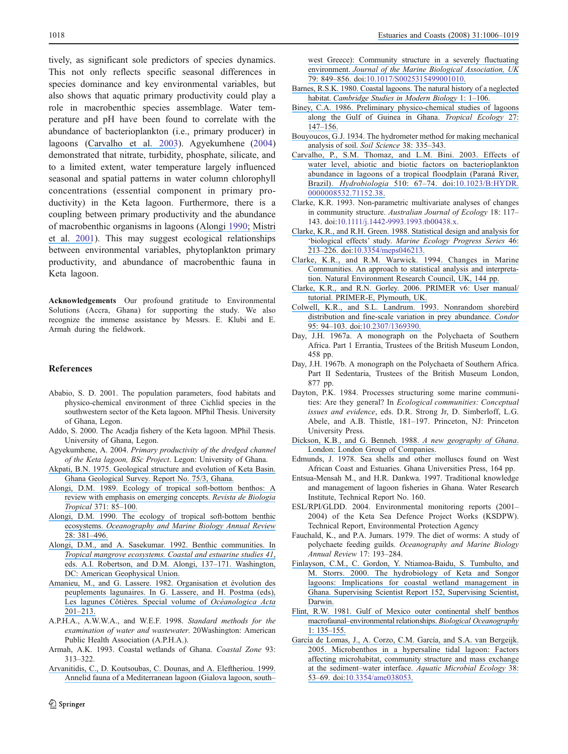<span id="page-13-0"></span>tively, as significant sole predictors of species dynamics. This not only reflects specific seasonal differences in species dominance and key environmental variables, but also shows that aquatic primary productivity could play a role in macrobenthic species assemblage. Water temperature and pH have been found to correlate with the abundance of bacterioplankton (i.e., primary producer) in lagoons ([Carvalho et al.](https://www.researchgate.net/publication/227186036_Effects_of_water_level_abiotic_and_biotic_factors_on_bacterioplankton_abundance_in_lagoons_of_a_tropical_floodplain_Parana_River_Brazil?el=1_x_8&enrichId=rgreq-43301336f11efd93653b6a2898d99141-XXX&enrichSource=Y292ZXJQYWdlOzIyNjkxNDU1NztBUzo5OTIyNzk1MDY0OTM1NEAxNDAwNjY5MTk1NjM3) 2003). Agyekumhene (2004) demonstrated that nitrate, turbidity, phosphate, silicate, and to a limited extent, water temperature largely influenced seasonal and spatial patterns in water column chlorophyll concentrations (essential component in primary productivity) in the Keta lagoon. Furthermore, there is a coupling between primary productivity and the abundance of macrobenthic organisms in lagoons ([Alongi](https://www.researchgate.net/publication/291348264_The_Ecology_of_Tropical_Soft-Bottom_Benthic_Ecosystems?el=1_x_8&enrichId=rgreq-43301336f11efd93653b6a2898d99141-XXX&enrichSource=Y292ZXJQYWdlOzIyNjkxNDU1NztBUzo5OTIyNzk1MDY0OTM1NEAxNDAwNjY5MTk1NjM3) 1990; [Mistri](https://www.researchgate.net/publication/240441747_Structure_and_Secondary_Production_of_a_Soft_Bottom_Macrobenthic_Community_in_a_Brackish_Lagoon_Sacca_di_Goro_north-eastern_Italy?el=1_x_8&enrichId=rgreq-43301336f11efd93653b6a2898d99141-XXX&enrichSource=Y292ZXJQYWdlOzIyNjkxNDU1NztBUzo5OTIyNzk1MDY0OTM1NEAxNDAwNjY5MTk1NjM3) [et al.](https://www.researchgate.net/publication/240441747_Structure_and_Secondary_Production_of_a_Soft_Bottom_Macrobenthic_Community_in_a_Brackish_Lagoon_Sacca_di_Goro_north-eastern_Italy?el=1_x_8&enrichId=rgreq-43301336f11efd93653b6a2898d99141-XXX&enrichSource=Y292ZXJQYWdlOzIyNjkxNDU1NztBUzo5OTIyNzk1MDY0OTM1NEAxNDAwNjY5MTk1NjM3) [2001](#page-14-0)). This may suggest ecological relationships between environmental variables, phytoplankton primary productivity, and abundance of macrobenthic fauna in Keta lagoon.

Acknowledgements Our profound gratitude to Environmental Solutions (Accra, Ghana) for supporting the study. We also recognize the immense assistance by Messrs. E. Klubi and E. Armah during the fieldwork.

#### References

- Ababio, S. D. 2001. The population parameters, food habitats and physico-chemical environment of three Cichlid species in the southwestern sector of the Keta lagoon. MPhil Thesis. University of Ghana, Legon.
- Addo, S. 2000. The Acadja fishery of the Keta lagoon. MPhil Thesis. University of Ghana, Legon.
- Agyekumhene, A. 2004. Primary productivity of the dredged channel of the Keta lagoon, BSc Project. Legon: University of Ghana.
- [Akpati, B.N. 1975. Geological structure and evolution of Keta Basin.](https://www.researchgate.net/publication/249525176_Geologic_structure_and_evolution_of_the_Keta_basin_Ghana_West_Africa?el=1_x_8&enrichId=rgreq-43301336f11efd93653b6a2898d99141-XXX&enrichSource=Y292ZXJQYWdlOzIyNjkxNDU1NztBUzo5OTIyNzk1MDY0OTM1NEAxNDAwNjY5MTk1NjM3) [Ghana Geological Survey. Report No. 75/3, Ghana.](https://www.researchgate.net/publication/249525176_Geologic_structure_and_evolution_of_the_Keta_basin_Ghana_West_Africa?el=1_x_8&enrichId=rgreq-43301336f11efd93653b6a2898d99141-XXX&enrichSource=Y292ZXJQYWdlOzIyNjkxNDU1NztBUzo5OTIyNzk1MDY0OTM1NEAxNDAwNjY5MTk1NjM3)
- [Alongi, D.M. 1989. Ecology of tropical soft-bottom benthos: A](https://www.researchgate.net/publication/284686443_Ecology_of_tropical_soft-bottom_benthos_A_review_with_emphasis_on_emerging_concepts?el=1_x_8&enrichId=rgreq-43301336f11efd93653b6a2898d99141-XXX&enrichSource=Y292ZXJQYWdlOzIyNjkxNDU1NztBUzo5OTIyNzk1MDY0OTM1NEAxNDAwNjY5MTk1NjM3) [review with emphasis on emerging concepts.](https://www.researchgate.net/publication/284686443_Ecology_of_tropical_soft-bottom_benthos_A_review_with_emphasis_on_emerging_concepts?el=1_x_8&enrichId=rgreq-43301336f11efd93653b6a2898d99141-XXX&enrichSource=Y292ZXJQYWdlOzIyNjkxNDU1NztBUzo5OTIyNzk1MDY0OTM1NEAxNDAwNjY5MTk1NjM3) Revista de Biologia [Tropical](https://www.researchgate.net/publication/284686443_Ecology_of_tropical_soft-bottom_benthos_A_review_with_emphasis_on_emerging_concepts?el=1_x_8&enrichId=rgreq-43301336f11efd93653b6a2898d99141-XXX&enrichSource=Y292ZXJQYWdlOzIyNjkxNDU1NztBUzo5OTIyNzk1MDY0OTM1NEAxNDAwNjY5MTk1NjM3) 371: 85–100.
- [Alongi, D.M. 1990. The ecology of tropical soft-bottom benthic](https://www.researchgate.net/publication/291348264_The_Ecology_of_Tropical_Soft-Bottom_Benthic_Ecosystems?el=1_x_8&enrichId=rgreq-43301336f11efd93653b6a2898d99141-XXX&enrichSource=Y292ZXJQYWdlOzIyNjkxNDU1NztBUzo5OTIyNzk1MDY0OTM1NEAxNDAwNjY5MTk1NjM3) ecosystems. [Oceanography and Marine Biology Annual Review](https://www.researchgate.net/publication/291348264_The_Ecology_of_Tropical_Soft-Bottom_Benthic_Ecosystems?el=1_x_8&enrichId=rgreq-43301336f11efd93653b6a2898d99141-XXX&enrichSource=Y292ZXJQYWdlOzIyNjkxNDU1NztBUzo5OTIyNzk1MDY0OTM1NEAxNDAwNjY5MTk1NjM3) [28: 381](https://www.researchgate.net/publication/291348264_The_Ecology_of_Tropical_Soft-Bottom_Benthic_Ecosystems?el=1_x_8&enrichId=rgreq-43301336f11efd93653b6a2898d99141-XXX&enrichSource=Y292ZXJQYWdlOzIyNjkxNDU1NztBUzo5OTIyNzk1MDY0OTM1NEAxNDAwNjY5MTk1NjM3)–496.
- [Alongi, D.M., and A. Sasekumar. 1992. Benthic communities. In](https://www.researchgate.net/publication/285480713_Coastal_and_estuarine_studies_Tropical_mangrove_ecosystems?el=1_x_8&enrichId=rgreq-43301336f11efd93653b6a2898d99141-XXX&enrichSource=Y292ZXJQYWdlOzIyNjkxNDU1NztBUzo5OTIyNzk1MDY0OTM1NEAxNDAwNjY5MTk1NjM3) [Tropical mangrove ecosystems. Coastal and estuarine studies 41](https://www.researchgate.net/publication/285480713_Coastal_and_estuarine_studies_Tropical_mangrove_ecosystems?el=1_x_8&enrichId=rgreq-43301336f11efd93653b6a2898d99141-XXX&enrichSource=Y292ZXJQYWdlOzIyNjkxNDU1NztBUzo5OTIyNzk1MDY0OTM1NEAxNDAwNjY5MTk1NjM3), [eds. A.I. Robertson, and D.M. Alongi, 137](https://www.researchgate.net/publication/285480713_Coastal_and_estuarine_studies_Tropical_mangrove_ecosystems?el=1_x_8&enrichId=rgreq-43301336f11efd93653b6a2898d99141-XXX&enrichSource=Y292ZXJQYWdlOzIyNjkxNDU1NztBUzo5OTIyNzk1MDY0OTM1NEAxNDAwNjY5MTk1NjM3)–171. Washington, [DC: American Geophysical Union.](https://www.researchgate.net/publication/285480713_Coastal_and_estuarine_studies_Tropical_mangrove_ecosystems?el=1_x_8&enrichId=rgreq-43301336f11efd93653b6a2898d99141-XXX&enrichSource=Y292ZXJQYWdlOzIyNjkxNDU1NztBUzo5OTIyNzk1MDY0OTM1NEAxNDAwNjY5MTk1NjM3)
- [Amanieu, M., and G. Lassere. 1982. Organisation et évolution des](https://www.researchgate.net/publication/283936946_Organisation_et_evolution_des_peuplements_lagunaires?el=1_x_8&enrichId=rgreq-43301336f11efd93653b6a2898d99141-XXX&enrichSource=Y292ZXJQYWdlOzIyNjkxNDU1NztBUzo5OTIyNzk1MDY0OTM1NEAxNDAwNjY5MTk1NjM3) [peuplements lagunaires. In G. Lassere, and H. Postma \(eds\),](https://www.researchgate.net/publication/283936946_Organisation_et_evolution_des_peuplements_lagunaires?el=1_x_8&enrichId=rgreq-43301336f11efd93653b6a2898d99141-XXX&enrichSource=Y292ZXJQYWdlOzIyNjkxNDU1NztBUzo5OTIyNzk1MDY0OTM1NEAxNDAwNjY5MTk1NjM3) [Les lagunes Côtières. Special volume of](https://www.researchgate.net/publication/283936946_Organisation_et_evolution_des_peuplements_lagunaires?el=1_x_8&enrichId=rgreq-43301336f11efd93653b6a2898d99141-XXX&enrichSource=Y292ZXJQYWdlOzIyNjkxNDU1NztBUzo5OTIyNzk1MDY0OTM1NEAxNDAwNjY5MTk1NjM3) Océanologica Acta 201–[213.](https://www.researchgate.net/publication/283936946_Organisation_et_evolution_des_peuplements_lagunaires?el=1_x_8&enrichId=rgreq-43301336f11efd93653b6a2898d99141-XXX&enrichSource=Y292ZXJQYWdlOzIyNjkxNDU1NztBUzo5OTIyNzk1MDY0OTM1NEAxNDAwNjY5MTk1NjM3)
- A.P.H.A., A.W.W.A., and W.E.F. 1998. Standard methods for the examination of water and wastewater. 20Washington: American Public Health Association (A.P.H.A.).
- Armah, A.K. 1993. Coastal wetlands of Ghana. Coastal Zone 93: 313–322.
- [Arvanitidis, C., D. Koutsoubas, C. Dounas, and A. Eleftheriou. 1999.](https://www.researchgate.net/publication/259361735_Annelid_fauna_of_a_Mediterranean_lagoon_Gialova_Lagoon_south-west_Greece_Community_structure_in_a_severely_fluctuating_environment?el=1_x_8&enrichId=rgreq-43301336f11efd93653b6a2898d99141-XXX&enrichSource=Y292ZXJQYWdlOzIyNjkxNDU1NztBUzo5OTIyNzk1MDY0OTM1NEAxNDAwNjY5MTk1NjM3) [Annelid fauna of a Mediterranean lagoon \(Gialova lagoon, south](https://www.researchgate.net/publication/259361735_Annelid_fauna_of_a_Mediterranean_lagoon_Gialova_Lagoon_south-west_Greece_Community_structure_in_a_severely_fluctuating_environment?el=1_x_8&enrichId=rgreq-43301336f11efd93653b6a2898d99141-XXX&enrichSource=Y292ZXJQYWdlOzIyNjkxNDU1NztBUzo5OTIyNzk1MDY0OTM1NEAxNDAwNjY5MTk1NjM3)–

[west Greece\): Community structure in a severely fluctuating](https://www.researchgate.net/publication/259361735_Annelid_fauna_of_a_Mediterranean_lagoon_Gialova_Lagoon_south-west_Greece_Community_structure_in_a_severely_fluctuating_environment?el=1_x_8&enrichId=rgreq-43301336f11efd93653b6a2898d99141-XXX&enrichSource=Y292ZXJQYWdlOzIyNjkxNDU1NztBUzo5OTIyNzk1MDY0OTM1NEAxNDAwNjY5MTk1NjM3) environment. [Journal of the Marine Biological Association, UK](https://www.researchgate.net/publication/259361735_Annelid_fauna_of_a_Mediterranean_lagoon_Gialova_Lagoon_south-west_Greece_Community_structure_in_a_severely_fluctuating_environment?el=1_x_8&enrichId=rgreq-43301336f11efd93653b6a2898d99141-XXX&enrichSource=Y292ZXJQYWdlOzIyNjkxNDU1NztBUzo5OTIyNzk1MDY0OTM1NEAxNDAwNjY5MTk1NjM3) 79: 849–[856. doi:](https://www.researchgate.net/publication/259361735_Annelid_fauna_of_a_Mediterranean_lagoon_Gialova_Lagoon_south-west_Greece_Community_structure_in_a_severely_fluctuating_environment?el=1_x_8&enrichId=rgreq-43301336f11efd93653b6a2898d99141-XXX&enrichSource=Y292ZXJQYWdlOzIyNjkxNDU1NztBUzo5OTIyNzk1MDY0OTM1NEAxNDAwNjY5MTk1NjM3)[10.1017/S0025315499001010](http://dx.doi.org/10.1017/S0025315499001010)[.](https://www.researchgate.net/publication/259361735_Annelid_fauna_of_a_Mediterranean_lagoon_Gialova_Lagoon_south-west_Greece_Community_structure_in_a_severely_fluctuating_environment?el=1_x_8&enrichId=rgreq-43301336f11efd93653b6a2898d99141-XXX&enrichSource=Y292ZXJQYWdlOzIyNjkxNDU1NztBUzo5OTIyNzk1MDY0OTM1NEAxNDAwNjY5MTk1NjM3)

- [Barnes, R.S.K. 1980. Coastal lagoons. The natural history of a neglected](https://www.researchgate.net/publication/37885080_Coastal_lagoons_the_natural_history_of_a_neglected_habitat?el=1_x_8&enrichId=rgreq-43301336f11efd93653b6a2898d99141-XXX&enrichSource=Y292ZXJQYWdlOzIyNjkxNDU1NztBUzo5OTIyNzk1MDY0OTM1NEAxNDAwNjY5MTk1NjM3) habitat. [Cambridge Studies in Modern Biology](https://www.researchgate.net/publication/37885080_Coastal_lagoons_the_natural_history_of_a_neglected_habitat?el=1_x_8&enrichId=rgreq-43301336f11efd93653b6a2898d99141-XXX&enrichSource=Y292ZXJQYWdlOzIyNjkxNDU1NztBUzo5OTIyNzk1MDY0OTM1NEAxNDAwNjY5MTk1NjM3) 1: 1-106.
- [Biney, C.A. 1986. Preliminary physico-chemical studies of lagoons](https://www.researchgate.net/publication/290163205_Preliminary_physico-chemical_studies_of_estuaries_along_the_Gulf_of_Guinea_in_Ghana?el=1_x_8&enrichId=rgreq-43301336f11efd93653b6a2898d99141-XXX&enrichSource=Y292ZXJQYWdlOzIyNjkxNDU1NztBUzo5OTIyNzk1MDY0OTM1NEAxNDAwNjY5MTk1NjM3) [along the Gulf of Guinea in Ghana.](https://www.researchgate.net/publication/290163205_Preliminary_physico-chemical_studies_of_estuaries_along_the_Gulf_of_Guinea_in_Ghana?el=1_x_8&enrichId=rgreq-43301336f11efd93653b6a2898d99141-XXX&enrichSource=Y292ZXJQYWdlOzIyNjkxNDU1NztBUzo5OTIyNzk1MDY0OTM1NEAxNDAwNjY5MTk1NjM3) Tropical Ecology 27: 147–[156.](https://www.researchgate.net/publication/290163205_Preliminary_physico-chemical_studies_of_estuaries_along_the_Gulf_of_Guinea_in_Ghana?el=1_x_8&enrichId=rgreq-43301336f11efd93653b6a2898d99141-XXX&enrichSource=Y292ZXJQYWdlOzIyNjkxNDU1NztBUzo5OTIyNzk1MDY0OTM1NEAxNDAwNjY5MTk1NjM3)
- [Bouyoucos, G.J. 1934. The hydrometer method for making mechanical](https://www.researchgate.net/publication/288812115_Directions_for_making_mechanical_analysis_of_soils_by_the_hydrometer_method?el=1_x_8&enrichId=rgreq-43301336f11efd93653b6a2898d99141-XXX&enrichSource=Y292ZXJQYWdlOzIyNjkxNDU1NztBUzo5OTIyNzk1MDY0OTM1NEAxNDAwNjY5MTk1NjM3) [analysis of soil.](https://www.researchgate.net/publication/288812115_Directions_for_making_mechanical_analysis_of_soils_by_the_hydrometer_method?el=1_x_8&enrichId=rgreq-43301336f11efd93653b6a2898d99141-XXX&enrichSource=Y292ZXJQYWdlOzIyNjkxNDU1NztBUzo5OTIyNzk1MDY0OTM1NEAxNDAwNjY5MTk1NjM3) Soil Science 38: 335–343.
- [Carvalho, P., S.M. Thomaz, and L.M. Bini. 2003. Effects of](https://www.researchgate.net/publication/227186036_Effects_of_water_level_abiotic_and_biotic_factors_on_bacterioplankton_abundance_in_lagoons_of_a_tropical_floodplain_Parana_River_Brazil?el=1_x_8&enrichId=rgreq-43301336f11efd93653b6a2898d99141-XXX&enrichSource=Y292ZXJQYWdlOzIyNjkxNDU1NztBUzo5OTIyNzk1MDY0OTM1NEAxNDAwNjY5MTk1NjM3) [water level, abiotic and biotic factors on bacterioplankton](https://www.researchgate.net/publication/227186036_Effects_of_water_level_abiotic_and_biotic_factors_on_bacterioplankton_abundance_in_lagoons_of_a_tropical_floodplain_Parana_River_Brazil?el=1_x_8&enrichId=rgreq-43301336f11efd93653b6a2898d99141-XXX&enrichSource=Y292ZXJQYWdlOzIyNjkxNDU1NztBUzo5OTIyNzk1MDY0OTM1NEAxNDAwNjY5MTk1NjM3) [abundance in lagoons of a tropical floodplain \(Paraná River,](https://www.researchgate.net/publication/227186036_Effects_of_water_level_abiotic_and_biotic_factors_on_bacterioplankton_abundance_in_lagoons_of_a_tropical_floodplain_Parana_River_Brazil?el=1_x_8&enrichId=rgreq-43301336f11efd93653b6a2898d99141-XXX&enrichSource=Y292ZXJQYWdlOzIyNjkxNDU1NztBUzo5OTIyNzk1MDY0OTM1NEAxNDAwNjY5MTk1NjM3) Brazil). Hydrobiologia 510: 67–[74. doi:](https://www.researchgate.net/publication/227186036_Effects_of_water_level_abiotic_and_biotic_factors_on_bacterioplankton_abundance_in_lagoons_of_a_tropical_floodplain_Parana_River_Brazil?el=1_x_8&enrichId=rgreq-43301336f11efd93653b6a2898d99141-XXX&enrichSource=Y292ZXJQYWdlOzIyNjkxNDU1NztBUzo5OTIyNzk1MDY0OTM1NEAxNDAwNjY5MTk1NjM3)[10.1023/B:HYDR.](http://dx.doi.org/10.1023/B:HYDR.0000008532.71152.38) [0000008532.71152.38](http://dx.doi.org/10.1023/B:HYDR.0000008532.71152.38)[.](https://www.researchgate.net/publication/227186036_Effects_of_water_level_abiotic_and_biotic_factors_on_bacterioplankton_abundance_in_lagoons_of_a_tropical_floodplain_Parana_River_Brazil?el=1_x_8&enrichId=rgreq-43301336f11efd93653b6a2898d99141-XXX&enrichSource=Y292ZXJQYWdlOzIyNjkxNDU1NztBUzo5OTIyNzk1MDY0OTM1NEAxNDAwNjY5MTk1NjM3)
- Clarke, K.R. 1993. Non-parametric multivariate analyses of changes in community structure. Australian Journal of Ecology 18: 117– 143. doi:[10.1111/j.1442-9993.1993.tb00438.x](http://dx.doi.org/10.1111/j.1442-9993.1993.tb00438.x).
- [Clarke, K.R., and R.H. Green. 1988. Statistical design and analysis for](https://www.researchgate.net/publication/240311001_Statistical_Design_and_Analysis_for_a_) 'biological effects' study. [Marine Ecology Progress Series](https://www.researchgate.net/publication/240311001_Statistical_Design_and_Analysis_for_a_) 46: 213–[226. doi:](https://www.researchgate.net/publication/240311001_Statistical_Design_and_Analysis_for_a_)[10.3354/meps046213](http://dx.doi.org/10.3354/meps046213)[.](https://www.researchgate.net/publication/240311001_Statistical_Design_and_Analysis_for_a_)
- [Clarke, K.R., and R.M. Warwick. 1994. Changes in Marine](https://www.researchgate.net/publication/216900073_Change_in_Marine_Communities_An_Approach_to_Statistical_Analysis_and_Interpretation?el=1_x_8&enrichId=rgreq-43301336f11efd93653b6a2898d99141-XXX&enrichSource=Y292ZXJQYWdlOzIyNjkxNDU1NztBUzo5OTIyNzk1MDY0OTM1NEAxNDAwNjY5MTk1NjM3) [Communities. An approach to statistical analysis and interpreta](https://www.researchgate.net/publication/216900073_Change_in_Marine_Communities_An_Approach_to_Statistical_Analysis_and_Interpretation?el=1_x_8&enrichId=rgreq-43301336f11efd93653b6a2898d99141-XXX&enrichSource=Y292ZXJQYWdlOzIyNjkxNDU1NztBUzo5OTIyNzk1MDY0OTM1NEAxNDAwNjY5MTk1NjM3)[tion. Natural Environment Research Council, UK, 144 pp.](https://www.researchgate.net/publication/216900073_Change_in_Marine_Communities_An_Approach_to_Statistical_Analysis_and_Interpretation?el=1_x_8&enrichId=rgreq-43301336f11efd93653b6a2898d99141-XXX&enrichSource=Y292ZXJQYWdlOzIyNjkxNDU1NztBUzo5OTIyNzk1MDY0OTM1NEAxNDAwNjY5MTk1NjM3)
- [Clarke, K.R., and R.N. Gorley. 2006. PRIMER v6: User manual/](https://www.researchgate.net/publication/235425881_Primer_v6_User_ManualTutorial?el=1_x_8&enrichId=rgreq-43301336f11efd93653b6a2898d99141-XXX&enrichSource=Y292ZXJQYWdlOzIyNjkxNDU1NztBUzo5OTIyNzk1MDY0OTM1NEAxNDAwNjY5MTk1NjM3) [tutorial. PRIMER-E, Plymouth, UK.](https://www.researchgate.net/publication/235425881_Primer_v6_User_ManualTutorial?el=1_x_8&enrichId=rgreq-43301336f11efd93653b6a2898d99141-XXX&enrichSource=Y292ZXJQYWdlOzIyNjkxNDU1NztBUzo5OTIyNzk1MDY0OTM1NEAxNDAwNjY5MTk1NjM3)
- [Colwell, K.R., and S.L. Landrum. 1993. Nonrandom shorebird](https://www.researchgate.net/publication/266604839_Nonrandom_Shorebird_Distribution_and_Fine-Scale_Variation_in_Prey_Abundance?el=1_x_8&enrichId=rgreq-43301336f11efd93653b6a2898d99141-XXX&enrichSource=Y292ZXJQYWdlOzIyNjkxNDU1NztBUzo5OTIyNzk1MDY0OTM1NEAxNDAwNjY5MTk1NjM3) [distribution and fine-scale variation in prey abundance.](https://www.researchgate.net/publication/266604839_Nonrandom_Shorebird_Distribution_and_Fine-Scale_Variation_in_Prey_Abundance?el=1_x_8&enrichId=rgreq-43301336f11efd93653b6a2898d99141-XXX&enrichSource=Y292ZXJQYWdlOzIyNjkxNDU1NztBUzo5OTIyNzk1MDY0OTM1NEAxNDAwNjY5MTk1NjM3) Condor 95: 94–[103. doi:](https://www.researchgate.net/publication/266604839_Nonrandom_Shorebird_Distribution_and_Fine-Scale_Variation_in_Prey_Abundance?el=1_x_8&enrichId=rgreq-43301336f11efd93653b6a2898d99141-XXX&enrichSource=Y292ZXJQYWdlOzIyNjkxNDU1NztBUzo5OTIyNzk1MDY0OTM1NEAxNDAwNjY5MTk1NjM3)[10.2307/1369390](http://dx.doi.org/10.2307/1369390)[.](https://www.researchgate.net/publication/266604839_Nonrandom_Shorebird_Distribution_and_Fine-Scale_Variation_in_Prey_Abundance?el=1_x_8&enrichId=rgreq-43301336f11efd93653b6a2898d99141-XXX&enrichSource=Y292ZXJQYWdlOzIyNjkxNDU1NztBUzo5OTIyNzk1MDY0OTM1NEAxNDAwNjY5MTk1NjM3)
- Day, J.H. 1967a. A monograph on the Polychaeta of Southern Africa. Part 1 Errantia, Trustees of the British Museum London, 458 pp.
- Day, J.H. 1967b. A monograph on the Polychaeta of Southern Africa. Part II Sedentaria, Trustees of the British Museum London, 877 pp.
- Dayton, P.K. 1984. Processes structuring some marine communities: Are they general? In Ecological communities: Conceptual issues and evidence, eds. D.R. Strong Jr, D. Simberloff, L.G. Abele, and A.B. Thistle, 181–197. Princeton, NJ: Princeton University Press.
- [Dickson, K.B., and G. Benneh. 1988.](https://www.researchgate.net/publication/275882880_Geography_of_Ghana?el=1_x_8&enrichId=rgreq-43301336f11efd93653b6a2898d99141-XXX&enrichSource=Y292ZXJQYWdlOzIyNjkxNDU1NztBUzo5OTIyNzk1MDY0OTM1NEAxNDAwNjY5MTk1NjM3) A new geography of Ghana. [London: London Group of Companies.](https://www.researchgate.net/publication/275882880_Geography_of_Ghana?el=1_x_8&enrichId=rgreq-43301336f11efd93653b6a2898d99141-XXX&enrichSource=Y292ZXJQYWdlOzIyNjkxNDU1NztBUzo5OTIyNzk1MDY0OTM1NEAxNDAwNjY5MTk1NjM3)
- Edmunds, J. 1978. Sea shells and other molluscs found on West African Coast and Estuaries. Ghana Universities Press, 164 pp.
- Entsua-Mensah M., and H.R. Dankwa. 1997. Traditional knowledge and management of lagoon fisheries in Ghana. Water Research Institute, Technical Report No. 160.
- ESL/RPI/GLDD. 2004. Environmental monitoring reports (2001– 2004) of the Keta Sea Defence Project Works (KSDPW). Technical Report, Environmental Protection Agency
- Fauchald, K., and P.A. Jumars. 1979. The diet of worms: A study of polychaete feeding guilds. Oceanography and Marine Biology Annual Review 17: 193–284.
- [Finlayson, C.M., C. Gordon, Y. Ntiamoa-Baidu, S. Tumbulto, and](https://www.researchgate.net/publication/258556699_Hydrobiology_of_the_Songor_and_Keta_lagoons_implications_for_wetland_management_in_Ghana?el=1_x_8&enrichId=rgreq-43301336f11efd93653b6a2898d99141-XXX&enrichSource=Y292ZXJQYWdlOzIyNjkxNDU1NztBUzo5OTIyNzk1MDY0OTM1NEAxNDAwNjY5MTk1NjM3) [M. Storrs. 2000. The hydrobiology of Keta and Songor](https://www.researchgate.net/publication/258556699_Hydrobiology_of_the_Songor_and_Keta_lagoons_implications_for_wetland_management_in_Ghana?el=1_x_8&enrichId=rgreq-43301336f11efd93653b6a2898d99141-XXX&enrichSource=Y292ZXJQYWdlOzIyNjkxNDU1NztBUzo5OTIyNzk1MDY0OTM1NEAxNDAwNjY5MTk1NjM3) [lagoons: Implications for coastal wetland management in](https://www.researchgate.net/publication/258556699_Hydrobiology_of_the_Songor_and_Keta_lagoons_implications_for_wetland_management_in_Ghana?el=1_x_8&enrichId=rgreq-43301336f11efd93653b6a2898d99141-XXX&enrichSource=Y292ZXJQYWdlOzIyNjkxNDU1NztBUzo5OTIyNzk1MDY0OTM1NEAxNDAwNjY5MTk1NjM3) [Ghana. Supervising Scientist Report 152, Supervising Scientist,](https://www.researchgate.net/publication/258556699_Hydrobiology_of_the_Songor_and_Keta_lagoons_implications_for_wetland_management_in_Ghana?el=1_x_8&enrichId=rgreq-43301336f11efd93653b6a2898d99141-XXX&enrichSource=Y292ZXJQYWdlOzIyNjkxNDU1NztBUzo5OTIyNzk1MDY0OTM1NEAxNDAwNjY5MTk1NjM3) [Darwin.](https://www.researchgate.net/publication/258556699_Hydrobiology_of_the_Songor_and_Keta_lagoons_implications_for_wetland_management_in_Ghana?el=1_x_8&enrichId=rgreq-43301336f11efd93653b6a2898d99141-XXX&enrichSource=Y292ZXJQYWdlOzIyNjkxNDU1NztBUzo5OTIyNzk1MDY0OTM1NEAxNDAwNjY5MTk1NjM3)
- [Flint, R.W. 1981. Gulf of Mexico outer continental shelf benthos](https://www.researchgate.net/publication/285819135_Gulf_of_Mexico_outer_continental_shelf_benthos_macrofaunal-environmental_relationships?el=1_x_8&enrichId=rgreq-43301336f11efd93653b6a2898d99141-XXX&enrichSource=Y292ZXJQYWdlOzIyNjkxNDU1NztBUzo5OTIyNzk1MDY0OTM1NEAxNDAwNjY5MTk1NjM3) macrofaunal–[environmental relationships.](https://www.researchgate.net/publication/285819135_Gulf_of_Mexico_outer_continental_shelf_benthos_macrofaunal-environmental_relationships?el=1_x_8&enrichId=rgreq-43301336f11efd93653b6a2898d99141-XXX&enrichSource=Y292ZXJQYWdlOzIyNjkxNDU1NztBUzo5OTIyNzk1MDY0OTM1NEAxNDAwNjY5MTk1NjM3) Biological Oceanography [1: 135](https://www.researchgate.net/publication/285819135_Gulf_of_Mexico_outer_continental_shelf_benthos_macrofaunal-environmental_relationships?el=1_x_8&enrichId=rgreq-43301336f11efd93653b6a2898d99141-XXX&enrichSource=Y292ZXJQYWdlOzIyNjkxNDU1NztBUzo5OTIyNzk1MDY0OTM1NEAxNDAwNjY5MTk1NjM3)–155.
- [García de Lomas, J., A. Corzo, C.M. García, and S.A. van Bergeijk.](https://www.researchgate.net/publication/234721830_Microbenthos_in_a_hypersaline_tidal_lagoon_Factors_affecting_microhabitat_community_structure_and_mass_exchange_at_the_sediment-water_interface?el=1_x_8&enrichId=rgreq-43301336f11efd93653b6a2898d99141-XXX&enrichSource=Y292ZXJQYWdlOzIyNjkxNDU1NztBUzo5OTIyNzk1MDY0OTM1NEAxNDAwNjY5MTk1NjM3) [2005. Microbenthos in a hypersaline tidal lagoon: Factors](https://www.researchgate.net/publication/234721830_Microbenthos_in_a_hypersaline_tidal_lagoon_Factors_affecting_microhabitat_community_structure_and_mass_exchange_at_the_sediment-water_interface?el=1_x_8&enrichId=rgreq-43301336f11efd93653b6a2898d99141-XXX&enrichSource=Y292ZXJQYWdlOzIyNjkxNDU1NztBUzo5OTIyNzk1MDY0OTM1NEAxNDAwNjY5MTk1NjM3) [affecting microhabitat, community structure and mass exchange](https://www.researchgate.net/publication/234721830_Microbenthos_in_a_hypersaline_tidal_lagoon_Factors_affecting_microhabitat_community_structure_and_mass_exchange_at_the_sediment-water_interface?el=1_x_8&enrichId=rgreq-43301336f11efd93653b6a2898d99141-XXX&enrichSource=Y292ZXJQYWdlOzIyNjkxNDU1NztBUzo5OTIyNzk1MDY0OTM1NEAxNDAwNjY5MTk1NjM3) at the sediment–water interface. [Aquatic Microbial Ecology](https://www.researchgate.net/publication/234721830_Microbenthos_in_a_hypersaline_tidal_lagoon_Factors_affecting_microhabitat_community_structure_and_mass_exchange_at_the_sediment-water_interface?el=1_x_8&enrichId=rgreq-43301336f11efd93653b6a2898d99141-XXX&enrichSource=Y292ZXJQYWdlOzIyNjkxNDU1NztBUzo5OTIyNzk1MDY0OTM1NEAxNDAwNjY5MTk1NjM3) 38: 53–[69. doi:](https://www.researchgate.net/publication/234721830_Microbenthos_in_a_hypersaline_tidal_lagoon_Factors_affecting_microhabitat_community_structure_and_mass_exchange_at_the_sediment-water_interface?el=1_x_8&enrichId=rgreq-43301336f11efd93653b6a2898d99141-XXX&enrichSource=Y292ZXJQYWdlOzIyNjkxNDU1NztBUzo5OTIyNzk1MDY0OTM1NEAxNDAwNjY5MTk1NjM3)[10.3354/ame03805](http://dx.doi.org/10.3354/ame038053)[3.](https://www.researchgate.net/publication/234721830_Microbenthos_in_a_hypersaline_tidal_lagoon_Factors_affecting_microhabitat_community_structure_and_mass_exchange_at_the_sediment-water_interface?el=1_x_8&enrichId=rgreq-43301336f11efd93653b6a2898d99141-XXX&enrichSource=Y292ZXJQYWdlOzIyNjkxNDU1NztBUzo5OTIyNzk1MDY0OTM1NEAxNDAwNjY5MTk1NjM3)